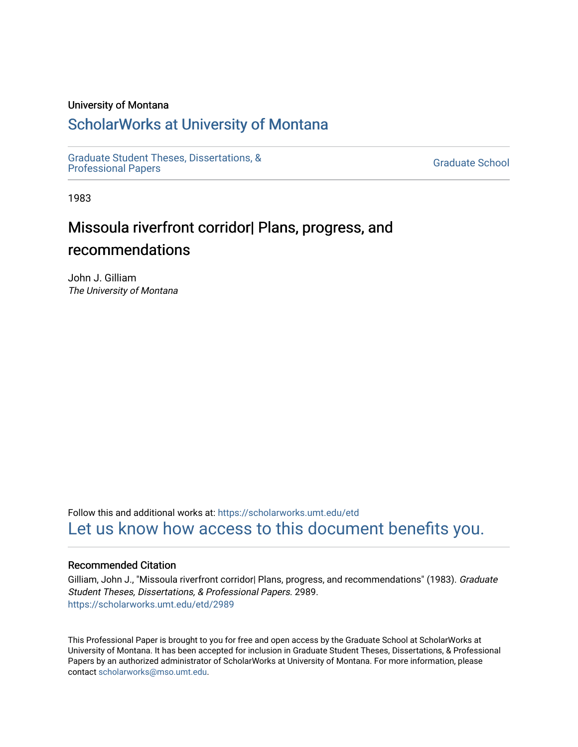## University of Montana

## [ScholarWorks at University of Montana](https://scholarworks.umt.edu/)

[Graduate Student Theses, Dissertations, &](https://scholarworks.umt.edu/etd) Graduate Student Theses, Dissertations, & Contract Control of the Graduate School [Professional Papers](https://scholarworks.umt.edu/etd) Contract Control of the Contract Control of the Contract Control of the Contract Contract Contract Control of the Contra

1983

# Missoula riverfront corridor| Plans, progress, and recommendations

John J. Gilliam The University of Montana

Follow this and additional works at: [https://scholarworks.umt.edu/etd](https://scholarworks.umt.edu/etd?utm_source=scholarworks.umt.edu%2Fetd%2F2989&utm_medium=PDF&utm_campaign=PDFCoverPages)  [Let us know how access to this document benefits you.](https://goo.gl/forms/s2rGfXOLzz71qgsB2) 

## Recommended Citation

Gilliam, John J., "Missoula riverfront corridor| Plans, progress, and recommendations" (1983). Graduate Student Theses, Dissertations, & Professional Papers. 2989. [https://scholarworks.umt.edu/etd/2989](https://scholarworks.umt.edu/etd/2989?utm_source=scholarworks.umt.edu%2Fetd%2F2989&utm_medium=PDF&utm_campaign=PDFCoverPages)

This Professional Paper is brought to you for free and open access by the Graduate School at ScholarWorks at University of Montana. It has been accepted for inclusion in Graduate Student Theses, Dissertations, & Professional Papers by an authorized administrator of ScholarWorks at University of Montana. For more information, please contact [scholarworks@mso.umt.edu](mailto:scholarworks@mso.umt.edu).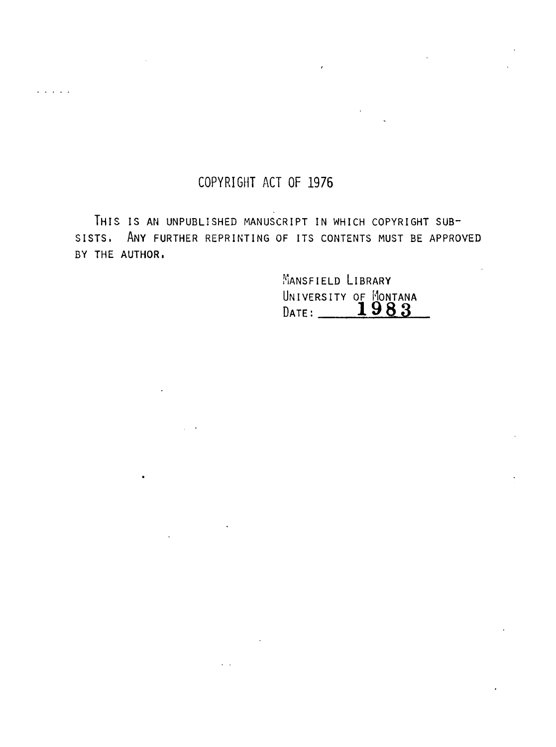# COPYRIGHT ACT OF 1976

 $\sim 10$ 

 $\cdot$   $\cdot$   $\cdot$   $\cdot$   $\cdot$ 

THIS IS AN UNPUBLISHED MANUSCRIPT IN WHICH COPYRIGHT SUB**s i s t s . An y further r e p r in t in g o f it s co ntents must b e appr o ved BY THE AUTHOR.**

> MANSFIELD LIBRARY  $\cup$ NIVERSITY OF LONTANA **<sup>D</sup>ate : \_\_\_\_\_\_\_\_ 19 8 3**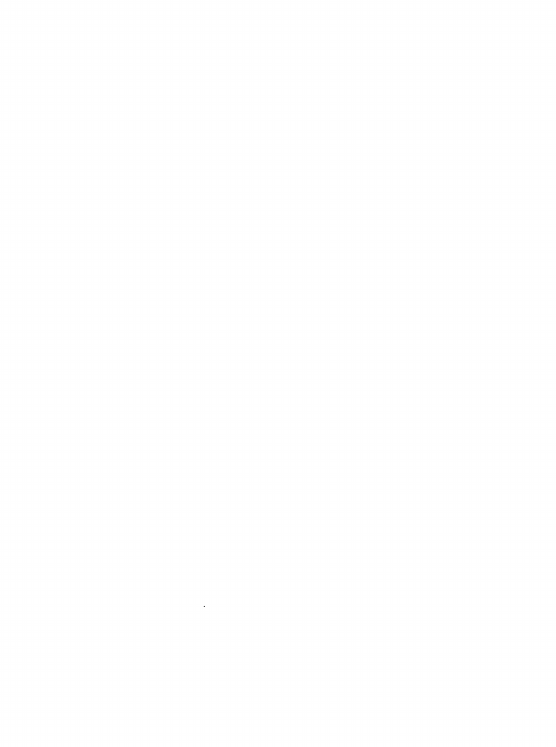$\mathcal{L}^{\text{max}}_{\text{max}}$  , where  $\mathcal{L}^{\text{max}}_{\text{max}}$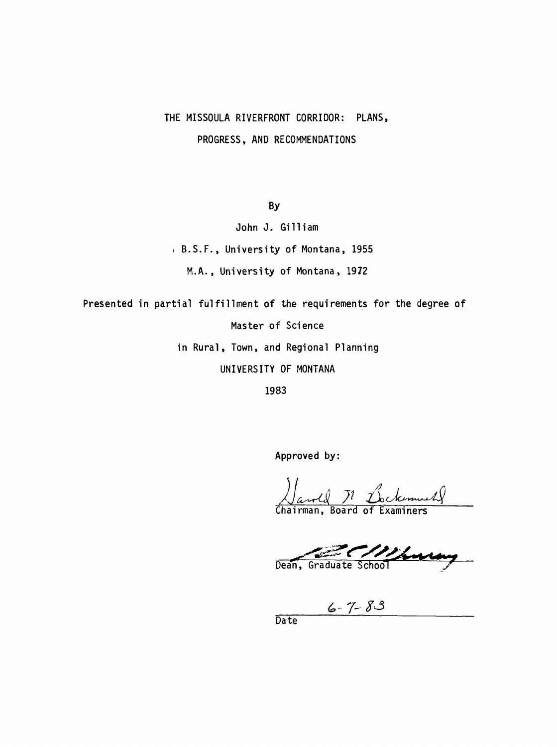# **THE MISSOULA RIVERFRONT CORRIDOR: PLANS, PROGRESS, AND RECOMMENDATIONS**

**By**

**John J. Gilliam**

**I B.S.F., University of Montana, 1955 M.A., University of Montana, 1972**

Presented in partial fulfillment of the requirements for the degree of

**Master of Science**

**in Rural, Town, and Regional Planning**

**UNIVERSITY OF MONTANA**

**1983**

**Approved by:**

**Chairman, Board of Examiners**

Dean, Graduate School

 $6 - 7 - 83$ **Date**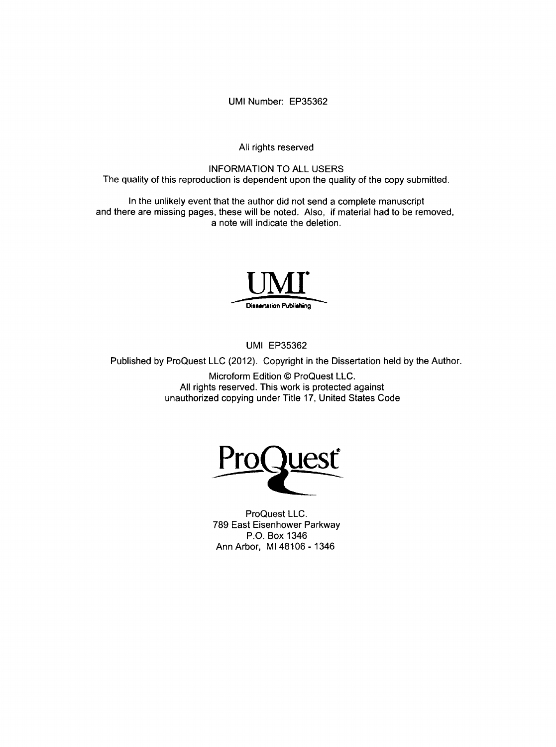**UMI Number; EP35362**

**All rights reserved**

**INFORMATION TO ALL USERS The quality of this reproduction is dependent upon the quality of the copy submitted.**

**In the unlikely event that the author did not send a complete manuscript and there are missing pages, these will be noted. Also, if material had to be removed, a note will indicate the deletion.**



**UMI EP35362**

**Published by ProQuest LLC (2012). Copyright in the Dissertation held by the Author.**

**Microform Edition © ProQuest LLC. All rights reserved. This work is protected against unauthorized copying under Title 17, United States Code**



**ProQuest LLC. 789 East Eisenhower Parkway P.O. Box 1346 Ann Arbor, Ml 48106- 1346**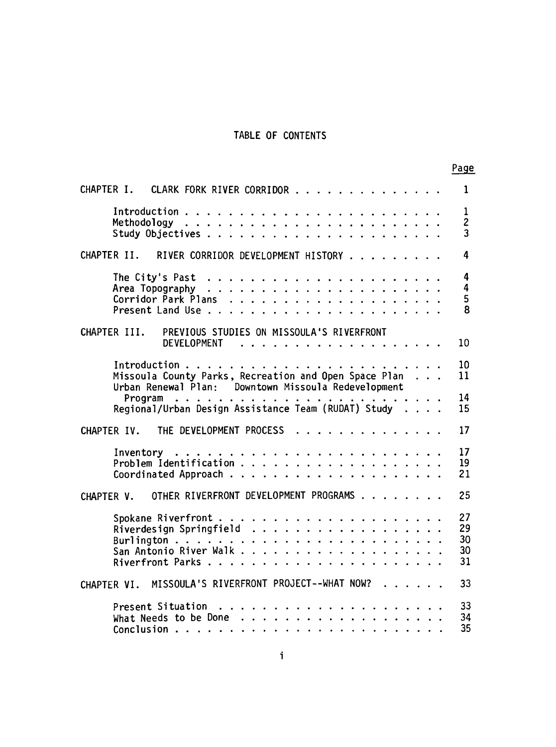## TABLE OF CONTENTS

|                                                                                                              | Page                                                              |
|--------------------------------------------------------------------------------------------------------------|-------------------------------------------------------------------|
| CHAPTER I.<br>CLARK FORK RIVER CORRIDOR                                                                      | $\mathbf{1}$                                                      |
|                                                                                                              | $\mathbf 1$<br>$\overline{\mathbf{c}}$<br>$\overline{\mathbf{3}}$ |
| CHAPTER II.<br>RIVER CORRIDOR DEVELOPMENT HISTORY                                                            | 4                                                                 |
| The City's Past $\dots \dots \dots \dots \dots \dots \dots \dots \dots \dots$                                | 4<br>4<br>5<br>8                                                  |
| CHAPTER III.<br>PREVIOUS STUDIES ON MISSOULA'S RIVERFRONT<br>DEVELOPMENT<br>.                                | 10                                                                |
| Missoula County Parks, Recreation and Open Space Plan<br>Urban Renewal Plan: Downtown Missoula Redevelopment | 10<br>11                                                          |
| Regional/Urban Design Assistance Team (RUDAT) Study                                                          | 14<br>15                                                          |
| THE DEVELOPMENT PROCESS<br>CHAPTER IV.<br>.                                                                  | 17                                                                |
| Inventory                                                                                                    | 17<br>19<br>21                                                    |
| OTHER RIVERFRONT DEVELOPMENT PROGRAMS<br>CHAPTER V.                                                          | 25                                                                |
|                                                                                                              | 27<br>29<br>30<br>30<br>31                                        |
| MISSOULA'S RIVERFRONT PROJECT--WHAT NOW?<br>CHAPTER VI.                                                      | 33                                                                |
|                                                                                                              | 33<br>34<br>35                                                    |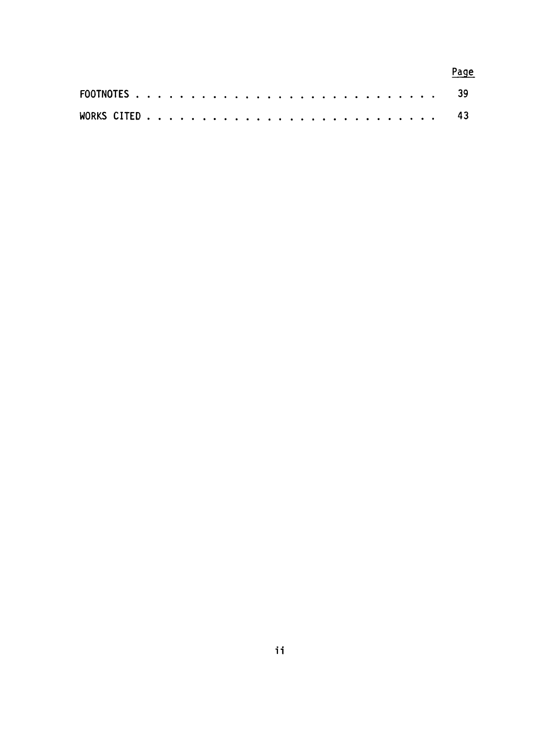#### 39 43

Page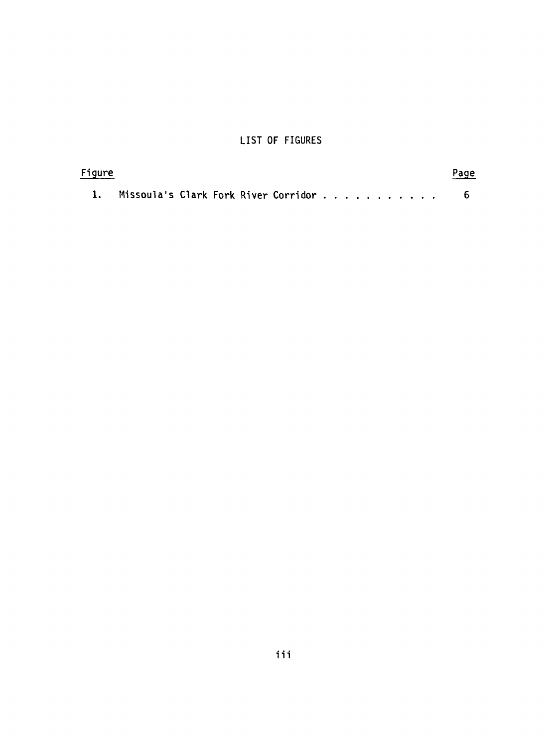## **LIST OF FIGURES**

| <u>Figure</u> |                                         |  |  |  |  |  |  |  | <u>Page</u> |
|---------------|-----------------------------------------|--|--|--|--|--|--|--|-------------|
|               | 1. Missoula's Clark Fork River Corridor |  |  |  |  |  |  |  |             |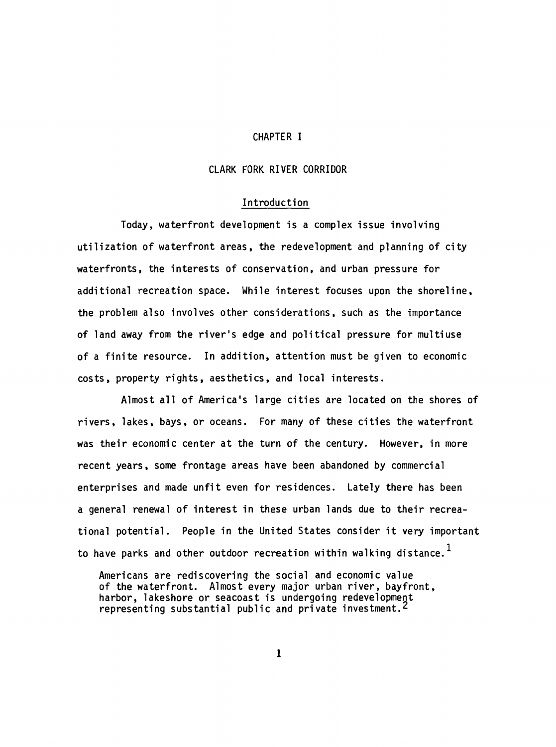## **CHAPTER I**

### **CLARK FORK RIVER CORRIDOR**

#### **Introduction**

**Today, waterfront development is a complex issue involving u tiliza tio n of waterfront areas, the redevelopment and planning of city waterfronts, the interests of conservation, and urban pressure for additional recreation space. While interest focuses upon the shoreline, the problem also involves other considerations, such as the importance** of land away from the river's edge and political pressure for multiuse **of a fin ite resource. In addition, attention must be given to economic costs, property rights, aesthetics, and local interests.**

Almost all of America's large cities are located on the shores of **rivers, lakes, bays, or oceans. For many of these cities the waterfront** was their economic center at the turn of the century. However, in more **recent years, some frontage areas have been abandoned by commercial** enterprises and made unfit even for residences. Lately there has been a general renewal of interest in these urban lands due to their recreational potential. People in the United States consider it very important **to have parks and other outdoor recreation within walking distance.^**

**Americans are rediscovering the social and economic value** of the waterfront. Almost every major urban river, bayfront, **harbor, lakeshore or seacoast is undergoing redevelopment representing substantial public and private investment.2**

 $\mathbf{1}$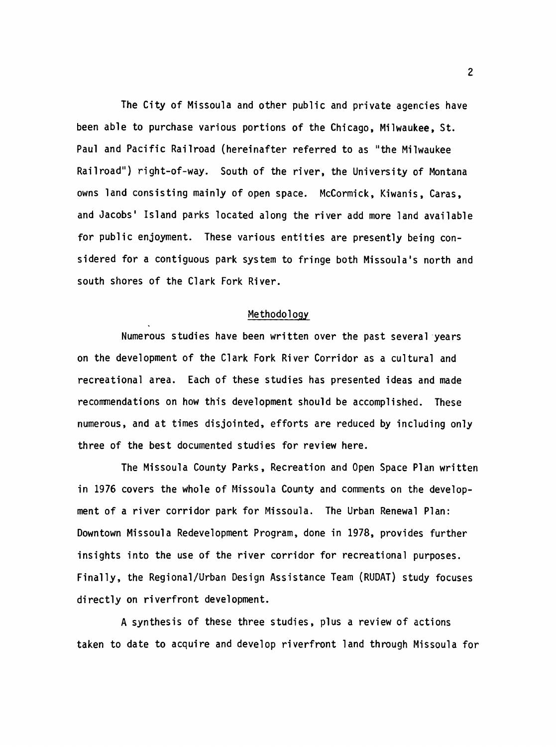**The City of Missoula and other public and private agencies have been able to purchase various portions of the Chicago, Milwaukee, St. Paul and Pacific Railroad (hereinafter referred to as "the Milwaukee** Railroad") right-of-way. South of the river, the University of Montana **owns land consisting mainly of open space. McCormick, Kiwanis, Caras, and Jacobs' Island parks located along the river add more land available** for public enjoyment. These various entities are presently being con**sidered for a contiguous park system to fringe both Missoula's north and south shores of the Clark Fork River.**

#### **Methodology**

**Numerous studies have been written over the past several years on the development of the Clark Fork River Corridor as a cultural and recreational area. Each of these studies has presented ideas and made recommendations on how this development should be accomplished. These numerous, and at times disjointed, efforts are reduced by including only three of the best documented studies for review here.**

**The Missoula County Parks, Recreation and Open Space Plan written in 1976 covers the whole of Missoula County and comments on the development of a river corridor park for Missoula. The Urban Renewal Plan: Downtown Missoula Redevelopment Program, done in 1978, provides further insights into the use of the river corridor for recreational purposes. F in ally , the Regional/Urban Design Assistance Team (RUDAT) study focuses** directly on riverfront development.

**A synthesis of these three studies, plus a review of actions taken to date to acquire and develop riverfront land through Missoula for**

 $2^{\circ}$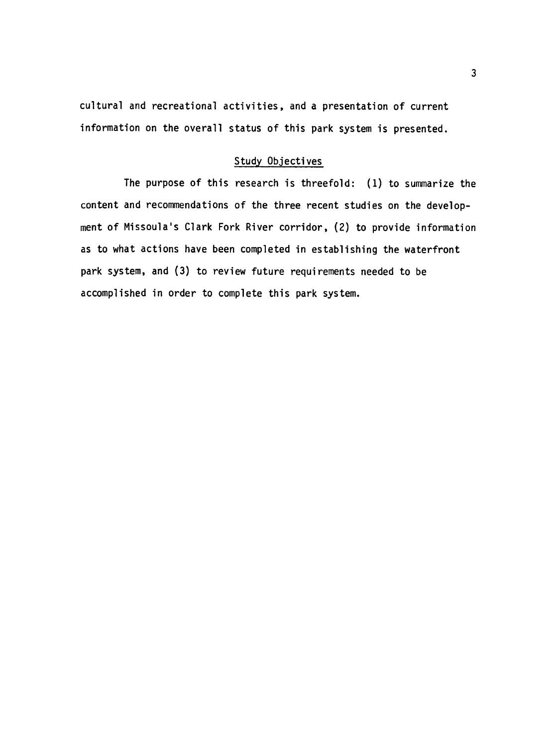cultural and recreational activities, and a presentation of current **information on the overall status of this park system is presented.**

## **Study Objectives**

**The purpose of this research is threefold: (1) to summarize the content and recommendations of the three recent studies on the development of Missoula's Clark Fork River corridor, (2) to provide information as to what actions have been completed in establishing the waterfront park system, and (3) to review future requirements needed to be accomplished in order to complete this park system.**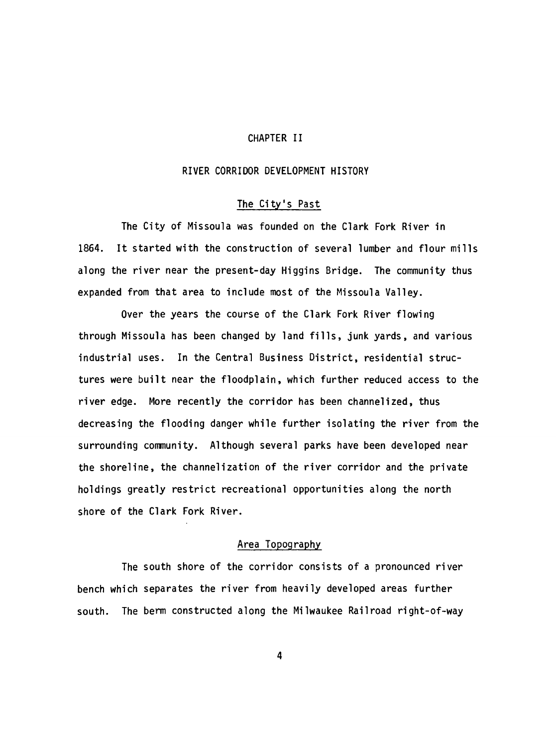## **CHAPTER I I**

## **RIVER CORRIDOR DEVELOPMENT HISTORY**

#### **The City's Past**

**The City of Missoula was founded on the Clark Fork River in** 1864. It started with the construction of several lumber and flour mills **along the river near the present-day Higgins Bridge. The community thus expanded from that area to include most of the Missoula Valley.**

**Over the years the course of the Clark Fork River flowing** through Missoula has been changed by land fills, junk yards, and various industrial uses. In the Central Business District, residential structures were built near the floodplain, which further reduced access to the **river edge. More recently the corridor has been channelized, thus decreasing the flooding danger while further isolating the river from the surrounding community. Although several parks have been developed near the shoreline, the channelization of the river corridor and the private** holdings greatly restrict recreational opportunities along the north **shore of the Clark Fork River.**

## **Area Topography**

**The south shore of the corridor consists of a pronounced river bench which separates the river from heavily developed areas further south. The berm constructed along the Milwaukee Railroad right-of-way**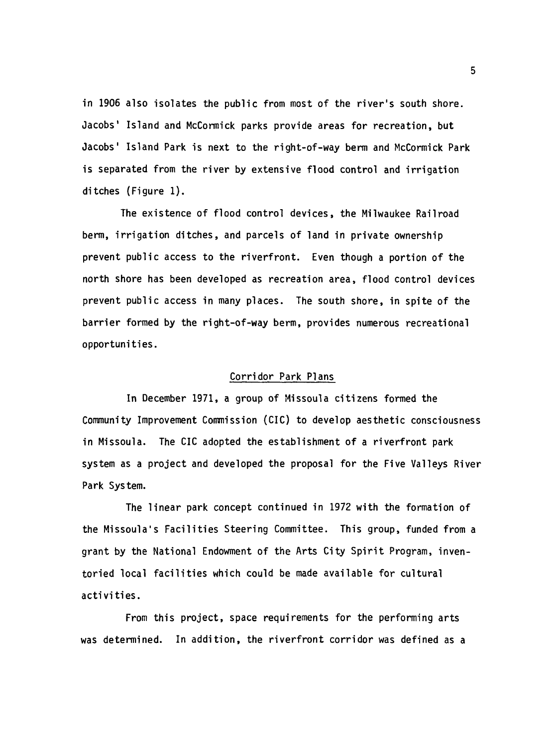**in 1906 also isolates the public from most of the river's south shore. Jacobs' Island and McCormick parks provide areas for recreation, but Jacobs' Island Park is next to the right-of-way berm and McCormick Park is separated from the river by extensive flood control and irrigation ditches (Figure I) .**

**The existence of flood control devices, the Milwaukee Railroad** berm, irrigation ditches, and parcels of land in private ownership prevent public access to the riverfront. Even though a portion of the **north shore has been developed as recreation area, flood control devices prevent public access in many places. The south shore, in spite of the barrier formed by the right-of-way berm, provides numerous recreational opportunities.**

#### **Corridor Park Plans**

In December 1971, a group of Missoula citizens formed the **Community Improvement Commission (CIC) to develop aesthetic consciousness in Missoula. The CIC adopted the establishment of a riverfront park system as a project and developed the proposal for the Five Valleys River Park System.**

**The linear park concept continued in 1972 with the formation of** the Missoula's Facilities Steering Committee. This group, funded from a grant by the National Endowment of the Arts City Spirit Program, inven**toried local fa c ilitie s which could be made available for cultural a c tiv itie s .**

**From this project, space requirements for the performing arts** was determined. In addition, the riverfront corridor was defined as a

 $5<sup>1</sup>$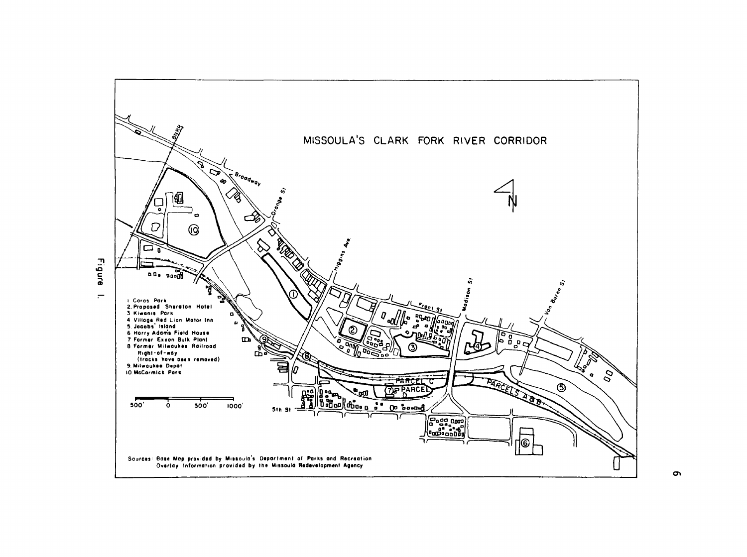

Figure

 $\sigma$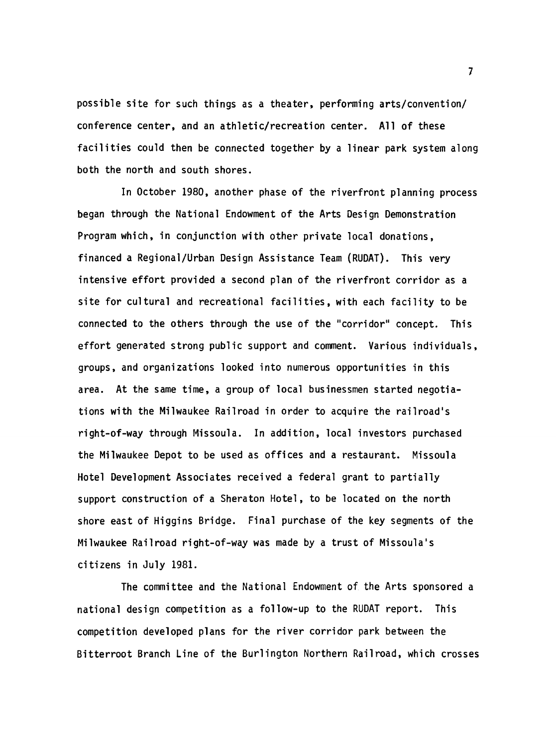**possible site for such things as a theater, performing arts/convention/ conference center, and an athletic/recreation center. All of these fa c ilitie s could then be connected together by a linear park system along both the north and south shores.**

**In October 1980, another phase of the riverfront planning process began through the National Endowment of the Arts Design Demonstration Program which, in conjunction with other private local donations, financed a Regional/Urban Design Assistance Team (RUDAT). This very** intensive effort provided a second plan of the riverfront corridor as a site for cultural and recreational facilities, with each facility to be **connected to the others through the use of the "corridor" concept. This** effort generated strong public support and comment. Various individuals, **groups, and organizations looked into numerous opportunities in this area. At the same time, a group of local businessmen started negotiations with the Milwaukee Railroad in order to acquire the railroad's right-of-way through Missoula. In addition, local investors purchased the Milwaukee Depot to be used as offices and a restaurant. Missoula** Hotel Development Associates received a federal grant to partially **support construction of a Sheraton Hotel, to be located on the north shore east of Higgins Bridge. Final purchase of the key segments of the Milwaukee Railroad right-of-way was made by a trust of Missoula's citizens in July 1981.**

**The committee and the National Endowment of the Arts sponsored a national design competition as a follow-up to the RUDAT report. This competition developed plans for the river corridor park between the B itterroot Branch Line of the Burlington Northern Railroad, which crosses**

 $7<sup>7</sup>$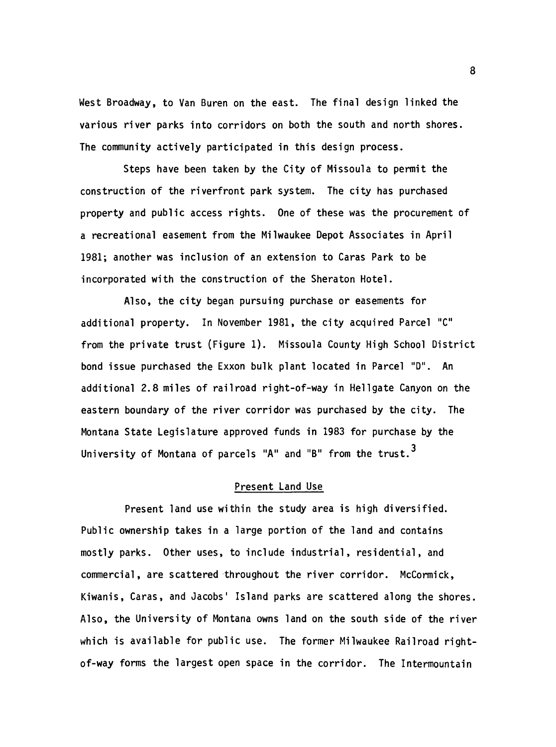West Broadway, to Van Buren on the east. The final design linked the **various river parks into corridors on both the south and north shores. The community actively participated in this design process.**

**Steps have been taken by the City of Missoula to permit the construction of the riverfront park system. The city has purchased property and public access rights. One of these was the procurement of a recreational easement from the Milwaukee Depot Associates in April 1981; another was inclusion of an extension to Caras Park to be incorporated with the construction of the Sheraton Hotel.**

**Also, the city began pursuing purchase or easements for additional property. In November 1981, the city acquired Parcel "C"** from the private trust (Figure 1). Missoula County High School District **bond issue purchased the Exxon bulk plant located in Parcel "D". An additional 2.8 miles of railroad right-of-way in Hell gate Canyon on the eastern boundary of the river corridor was purchased by the city. The Montana State Legislature approved funds in 1983 for purchase by the University of Montana of parcels "A" and "B" from the trust.^**

## **Present Land Use**

**Present land use within the study area is high diversified. Public ownership takes in a large portion of the land and contains mostly parks. Other uses, to include in dustrial, residential, and commercial, are scattered throughout the river corridor. McCormick, Kiwanis, Caras, and Jacobs' Island parks are scattered along the shores. Also, the University of Montana owns land on the south side of the river** which is available for public use. The former Milwaukee Railroad right**of-way forms the largest open space in the corridor. The Intermountain**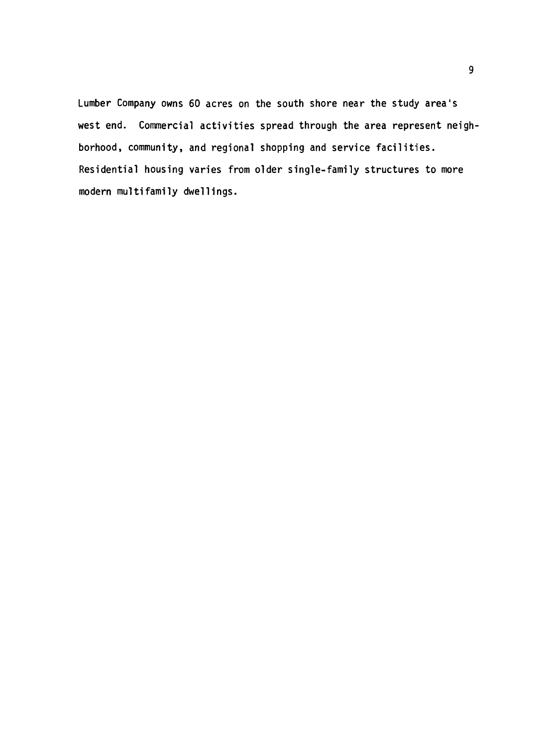**Lumber Company owns 60 acres on the south shore near the study area's** west end. Commercial activities spread through the area represent neighborhood, community, and regional shopping and service facilities. **Residential housing varies from older single-family structures to more modern multi family dwellings.**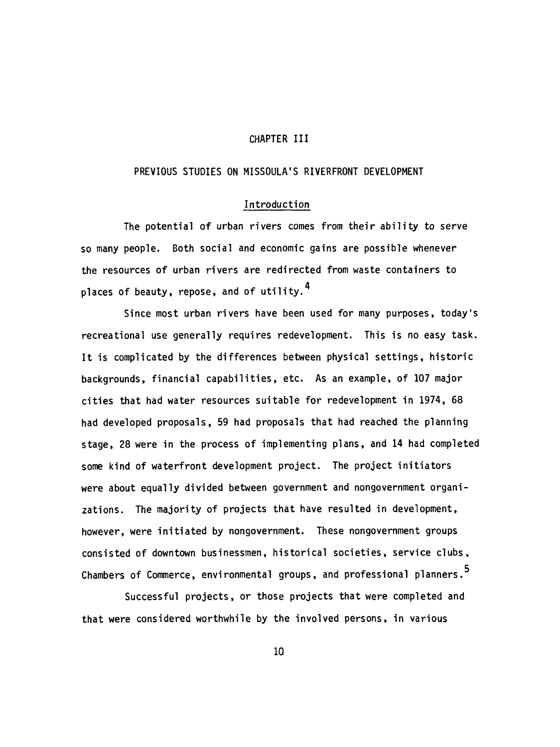## **CHAPTER I I I**

## **PREVIOUS STUDIES ON MISSOULA'S RIVERFRONT DEVELOPMENT**

## **Introduction**

The potential of urban rivers comes from their ability to serve **so many people. Both social and economic gains are possible whenever the resources of urban rivers are redirected from waste containers to** places of beauty, repose, and of utility.<sup>4</sup>

**Since most urban rivers have been used for many purposes, today's recreational use generally requires redevelopment. This is no easy task.** It is complicated by the differences between physical settings, historic **backgrounds, financial cap ab ilities, etc. As an example, of 107 major cities that had water resources suitable for redevelopment in 1974, 68 had developed proposals, 59 had proposals that had reached the planning stage, 28 were in the process of implementing plans, and 14 had completed** some kind of waterfront development project. The project initiators **were about equally divided between government and nongovernment organizations. The majority of projects that have resulted in development,** however, were initiated by nongovernment. These nongovernment groups **consisted of downtown businessmen, historical societies, service clubs. Chambers of Commerce, environmental groups, and professional planners.^**

**Successful projects, or those projects that were completed and that were considered worthwhile by the involved persons, in various**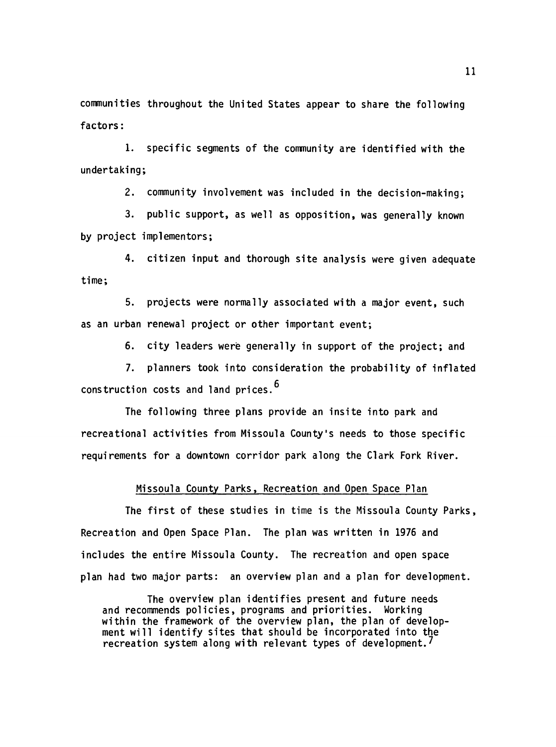**communities throughout the United States appear to share the following factors :**

**1. specific segments of the community are identified with the undertaking;**

**2. community involvement was included in the decision-making;**

**3. public support, as well as opposition, was generally known by project implementors;**

**4. citizen input and thorough site analysis were given adequate t i me ;**

**5. projects were normally associated with a major event, such as an urban renewal project or other important event;**

**6. c ity leaders were generally in support of the project; and**

**7. planners took into consideration the probability of inflated construction costs and land prices.®**

The following three plans provide an insite into park and recreational activities from Missoula County's needs to those specific **requirements for a downtown corridor park along the Clark Fork River.**

## **Missoula County Parks, Recreation and Open Space Plan**

The first of these studies in time is the Missoula County Parks, **Recreation and Open Space Plan. The plan was written in 1976 and includes the entire Missoula County. The recreation and open space plan had two major parts: an overview plan and a plan for development.**

The overview plan identifies present and future needs and recommends policies, programs and priorities. Working **within the framework of the overview plan, the plan of development w ill identify sites that should be incorporated into the recreation system along with relevant types of development.?**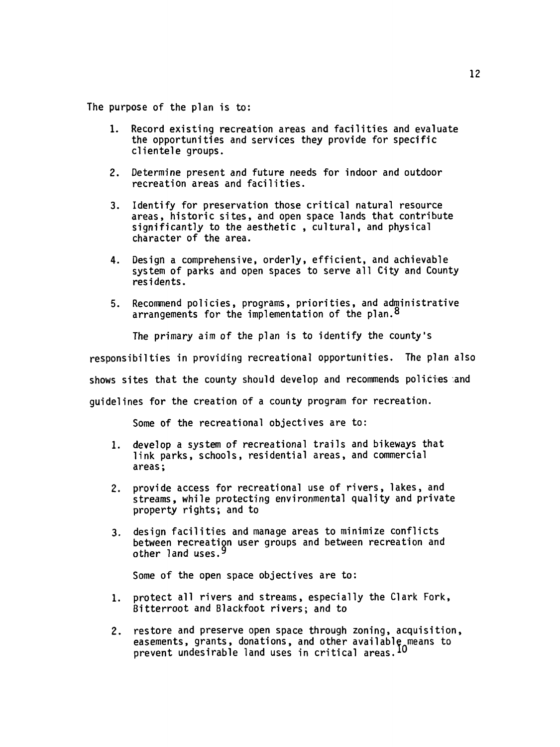**The purpose of the plan is to:**

- 1. Record existing recreation areas and facilities and evaluate **the opportunities and services they provide for specific clientele groups.**
- **2. Determine present and future needs for indoor and outdoor** recreation areas and facilities.
- **3.** Identify for preservation those critical natural resource areas, historic sites, and open space lands that contribute significantly to the aesthetic, cultural, and physical **character of the area.**
- 4. Design a comprehensive, orderly, efficient, and achievable **system of parks and open spaces to serve a ll City and County residents.**
- 5. Recommend policies, programs, priorities, and administrative **arrangements for the implementation of the plan.°**

**The primary aim of the plan is to identify the county's**

**responsibilties in providing recreational opportunities. The plan also shows sites that the county should develop and recommends policies and guidelines for the creation of a county program for recreation.**

**Some of the recreational objectives are to:**

- **1. develop a system of recreational tra ils and bikeways that link parks, schools, residential areas, and commercial areas;**
- **2. provide access for recreational use of rivers, lakes, and streams, while protecting environmental quality and private property rights; and to**
- 3. design facilities and manage areas to minimize conflicts **between recreation user groups and between recreation and other land uses.9**

**Some of the open space objectives are to:**

- **1. protect a ll rivers and streams, especially the Clark Fork, B itterroot and Blackfoot rivers; and to**
- **2. restore and preserve open space through zoning, acquisition, easements, grants, donations, and other available means to** prevent undesirable land uses in critical areas.<sup>10</sup>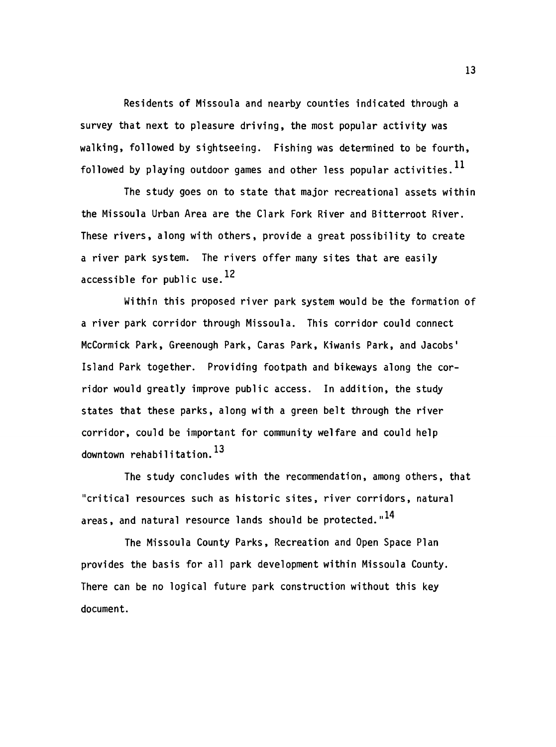**Residents of Missoula and nearby counties indicated through a** survey that next to pleasure driving, the most popular activity was **walking, followed by sightseeing. Fishing was determined to be fourth,** followed by playing outdoor games and other less popular activities.<sup>11</sup>

**The study goes on to state that major recreational assets within the Missoula Urban Area are the Clark Fork River and Bitterroot River. These rivers, along with others, provide a great possibility to create a river park system. The rivers o ffer many sites that are easily <sup>12</sup> accessible for public use.**

Within this proposed river park system would be the formation of **a river park corridor through Missoula. This corridor could connect McCormick Park, Greenough Park, Caras Park, Kiwanis Park, and Jacobs' Island Park together. Providing footpath and bikeways along the corridor would greatly improve public access. In addition, the study states that these parks, along with a green belt through the river corridor, could be important for community welfare and could help** downtown rehabilitation.<sup>13</sup>

**The study concludes with the recommendation, among others, that "c ritical resources such as historic sites, river corridors, natural areas, and natural resource lands should be protected.**

**The Missoula County Parks, Recreation and Open Space Plan provides the basis for a ll park development within Missoula County. There can be no logical future park construction without this key document.**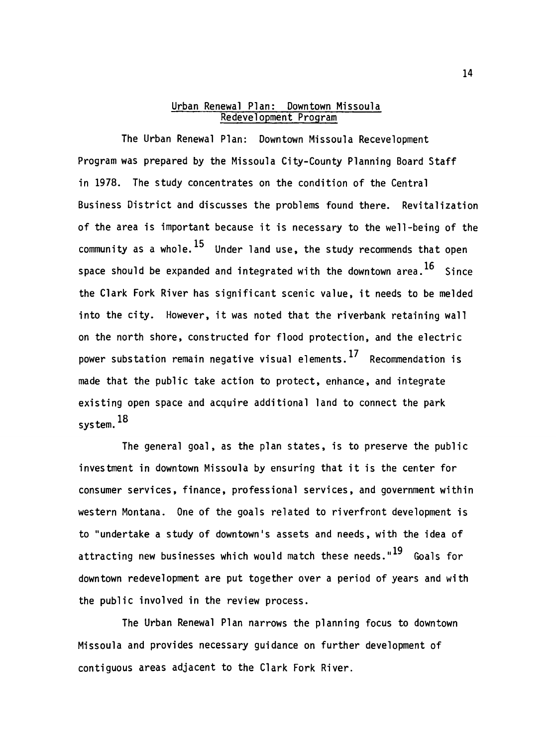#### **Urban Renewal Plan: Downtown Missoula Redevelopment Program**

**The Urban Renewal Plan: Downtown Missoula Recevelopment** Program was prepared by the Missoula City-County Planning Board Staff **in 1978. The study concentrates on the condition of the Central** Business District and discusses the problems found there. Revitalization of the area is important because it is necessary to the well-being of the **<sup>15</sup> community as a whole. Under land use, the study recommends that open** space should be expanded and integrated with the downtown area.<sup>16</sup> Since the Clark Fork River has significant scenic value, it needs to be melded into the city. However, it was noted that the riverbank retaining wall **on the north shore, constructed for flood protection, and the electric** power substation remain negative visual elements.<sup>17</sup> Recommendation is **made that the public take action to protect, enhance, and integrate existing open space and acquire additional land to connect the park <sup>18</sup> system.**

**The general goal, as the plan states, is to preserve the public** investment in downtown Missoula by ensuring that it is the center for **consumer services, finance, professional services, and government within** western Montana. One of the goals related to riverfront development is **to "undertake a study of downtown's assets and needs, with the idea of** attracting new businesses which would match these needs."<sup>19</sup> Goals for **downtown redevelopment are put together over a period of years and with the public involved in the review process.**

**The Urban Renewal Plan narrows the planning focus to downtown Missoula and provides necessary guidance on further development of contiguous areas adjacent to the Clark Fork River.**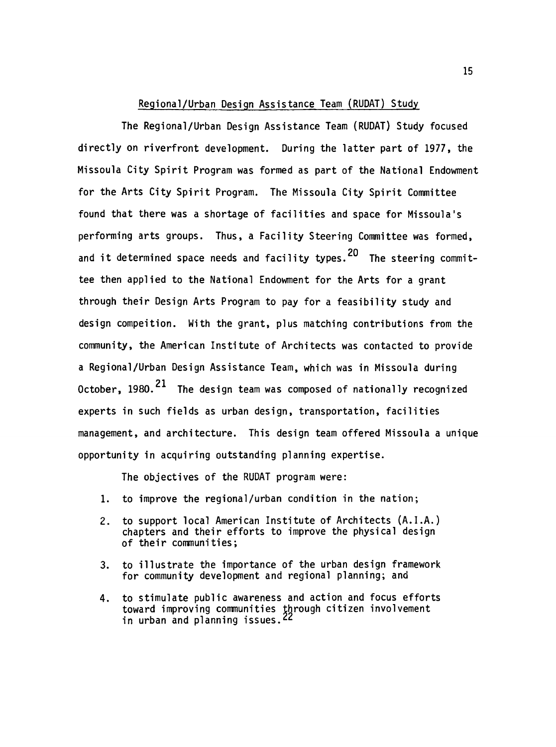## **Regional/Urban Design Assistance Team (RUDAT) Study**

**The Regional/Urban Design Assistance Team (RUDAT) Study focused** directly on riverfront development. During the latter part of 1977, the Missoula City Spirit Program was formed as part of the National Endowment for the Arts City Spirit Program. The Missoula City Spirit Committee found that there was a shortage of facilities and space for Missoula's performing arts groups. Thus, a Facility Steering Committee was formed, and it determined space needs and facility types.<sup>20</sup> The steering commit**tee then applied to the National Endowment for the Arts for a grant** through their Design Arts Program to pay for a feasibility study and **design compeition. With the grant, plus matching contributions from the** community, the American Institute of Architects was contacted to provide **a Regional/Urban Design Assistance Team, which was in Missoula during <sup>21</sup> October, 1980. The design team was composed of nationally recognized** experts in such fields as urban design, transportation, facilities **management, and architecture. This design team offered Missoula a unique opportunity in acquiring outstanding planning expertise.**

**The objectives of the RUDAT program were:**

- **1. to improve the regional/urban condition in the nation;**
- 2. to support local American Institute of Architects (A.I.A.) chapters and their efforts to improve the physical design of their communities;
- 3. to illustrate the importance of the urban design framework **for community development and regional planning; and**
- **4. to stimulate public awareness and action and focus efforts toward improving communities through citizen involvement in urban and planning is s u e s . 22**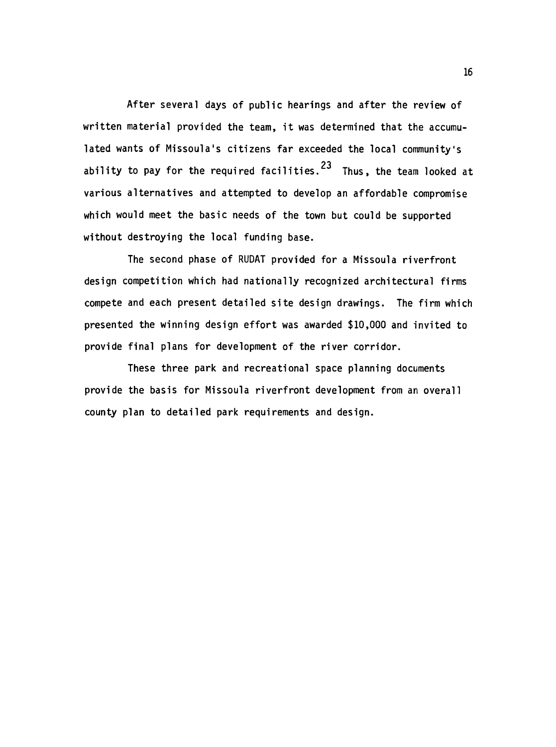**After several days of public hearings and after the review of** written material provided the team, it was determined that the accumu**lated wants of Missoula's citizens far exceeded the local community's** ability to pay for the required facilities.<sup>23</sup> Thus, the team looked at **various alternatives and attempted to develop an affordable compromise which would meet the basic needs of the town but could be supported without destroying the local funding base.**

**The second phase of RUDAT provided for a Missoula riverfront design competition which had nationally recognized architectural firms compete and each present detailed s ite design drawings. The firm which** presented the winning design effort was awarded \$10,000 and invited to **provide final plans for development of the river corridor.**

**These three park and recreational space planning documents provide the basis for Missoula riverfront development from an overall county plan to detailed park requirements and design.**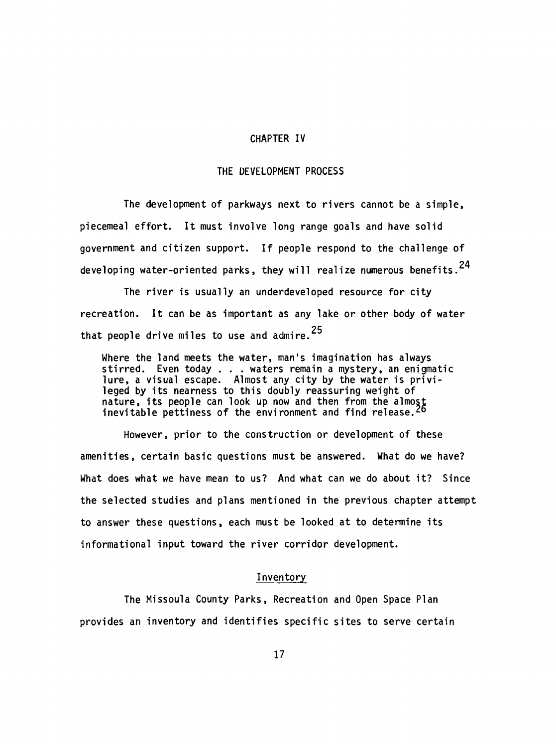#### **CHAPTER IV**

#### **THE DEVELOPMENT PROCESS**

**The development of parkways next to rivers cannot be a simple, piecemeal e ffo rt. I t must involve long range goals and have solid government and citizen support. I f people respond to the challenge of <sup>24</sup> developing water-oriented parks, they w ill realize numerous benefits.**

**The river is usually an underdeveloped resource for city** recreation. It can be as important as any lake or other body of water **<sup>25</sup> that people drive miles to use and admire.**

**Where the land meets the water, man's imagination has always** stirred. Even today . . . waters remain a mystery, an enigmatic lure, a visual escape. Almost any city by the water is privi**leged by its nearness to this doubly reassuring weight of nature, its people can look up now and then from the almost inevitable pettiness of the environment and find release.2°**

**However, prior to the construction or development of these amenities, certain basic questions must be answered. What do we have? What does what we have mean to us? And what can we do about it? Since the selected studies and plans mentioned in the previous chapter attempt to answer these questions, each must be looked at to determine its** informational input toward the river corridor development.

#### **Inventory**

**The Missoula County Parks, Recreation and Open Space Plan provides an inventory and id entifies specific sites to serve certain**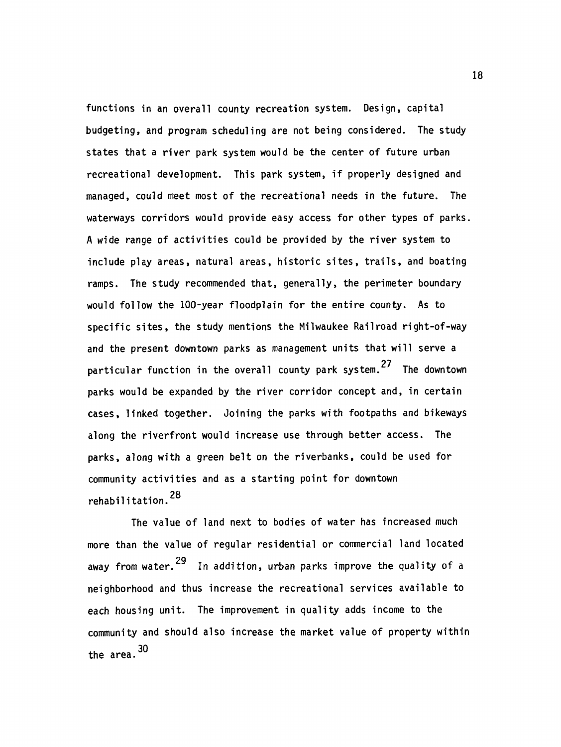**functions in an overall county recreation system. Design, capital budgeting, and program scheduling are not being considered. The study** states that a river park system would be the center of future urban recreational development. This park system, if properly designed and **managed, could meet most of the recreational needs in the future. The waterways corridors would provide easy access for other types of parks. A wide range of a c tiv itie s could be provided by the river system to** include play areas, natural areas, historic sites, trails, and boating **ramps. The study recommended that, generally, the perimeter boundary would follow the 100-year floodplain for the entire county. As to specific sites, the study mentions the Milwaukee Railroad right-of-way** and the present downtown parks as management units that will serve a **<sup>27</sup> particular function in the overall county park system. The downtown parks would be expanded by the river corridor concept and, in certain cases, linked together. Joining the parks with footpaths and bikeways** along the riverfront would increase use through better access. The **parks, along with a green belt on the riverbanks, could be used for** community activities and as a starting point for downtown **rehabilitation.^^**

**The value of land next to bodies of water has increased much more than the value of regular residential or commercial land located <sup>29</sup> away from water. In addition, urban parks improve the quality of a neighborhood and thus increase the recreational services available to each housing unit. The improvement in quality adds income to the community and should also increase the market value of property within** the area.<sup>30</sup>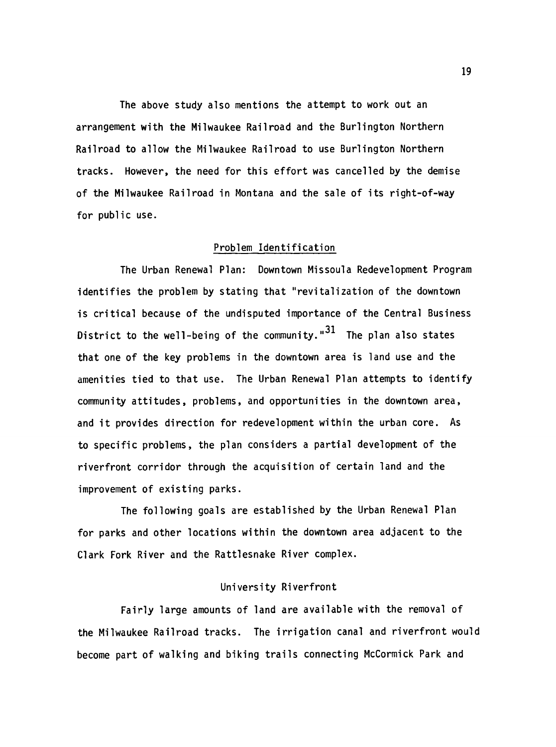**The above study also mentions the attempt to work out an arrangement with the Milwaukee Railroad and the Burlington Northern Railroad to allow the Milwaukee Railroad to use Burlington Northern** tracks. However, the need for this effort was cancelled by the demise **of the Milwaukee Railroad in Montana and the sale of its right-of-way for public use.**

#### **Problem Identification**

**The Urban Renewal Plan: Downtown Missoula Redevelopment Program** identifies the problem by stating that "revitalization of the downtown is critical because of the undisputed importance of the Central Business District to the well-being of the community."<sup>31</sup> The plan also states **that one of the key problems in the downtown area is land use and the amenities tied to that use. The Urban Renewal Plan attempts to identify community attitudes, problems, and opportunities in the downtown area,** and it provides direction for redevelopment within the urban core. As **to specific problems, the plan considers a partial development of the riverfront corridor through the acquisition of certain land and the improvement of existing parks.**

**The following goals are established by the Urban Renewal Plan for parks and other locations within the downtown area adjacent to the Clark Fork River and the Rattlesnake River complex.**

## **University Riverfront**

**Fairly large amounts of land are available with the removal of** the Milwaukee Railroad tracks. The irrigation canal and riverfront would **become part of walking and biking tra ils connecting McCormick Park and**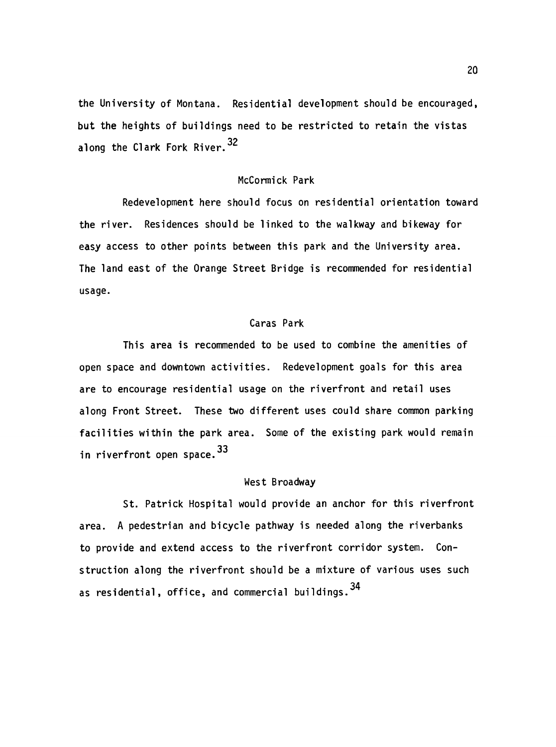**the University of Montana. Residential development should be encouraged, but the heights of buildings need to be restricted to retain the vistas along the Clark Fork River.**

#### **McCormick Park**

**Redevelopment here should focus on residential orientation toward the river. Residences should be linked to the walkway and bikeway for easy access to other points between this park and the University area. The land east of the Orange Street Bridge is recommended for residential usage.**

## **Caras Park**

**This area is recommended to be used to combine the amenities of** open space and downtown activities. Redevelopment goals for this area **are to encourage residential usage on the riverfront and retail uses** along Front Street. These two different uses could share common parking facilities within the park area. Some of the existing park would remain **<sup>33</sup> in riverfront open space.**

#### **West Broadway**

**St. Patrick Hospital would provide an anchor for this riverfront area. A pedestrian and bicycle pathway is needed along the riverbanks to provide and extend access to the riverfront corridor system. Con**struction along the riverfront should be a mixture of various uses such as residential, office, and commercial buildings.<sup>34</sup>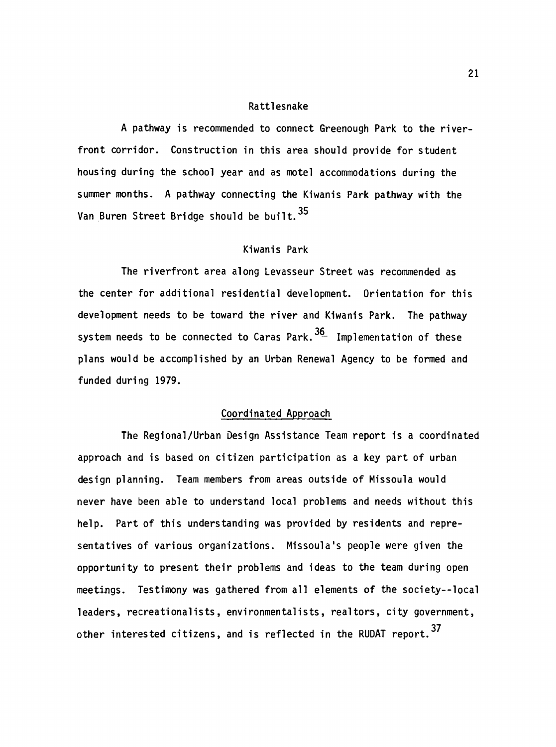## **Rattlesnake**

A pathway is recommended to connect Greenough Park to the river**front corridor. Construction in this area should provide for student housing during the school year and as motel accommodations during the summer months. A pathway connecting the Kiwanis Park pathway with the** Van Buren Street Bridge should be built.<sup>35</sup>

## **Kiwanis Park**

The riverfront area along Levasseur Street was recommended as **the center for additional residential development. Orientation for this development needs to be toward the river and Kiwanis Park. The pathway** system needs to be connected to Caras Park.<sup>36</sup> Implementation of these **plans would be accomplished by an Urban Renewal Agency to be formed and funded during 1979.**

#### **Coordinated Approach**

**The Regional/Urban Design Assistance Team report is a coordinated approach and is based on citizen participation as a key part of urban design planning. Team members from areas outside of Missoula would never have been able to understand local problems and needs without this help. Part of this understanding was provided by residents and representatives of various organizations. Missoula's people were given the** opportunity to present their problems and ideas to the team during open **meetings. Testimony was gathered from a ll elements of the society--local** leaders, recreationalists, environmentalists, realtors, city government, other interested citizens, and is reflected in the RUDAT report.<sup>37</sup>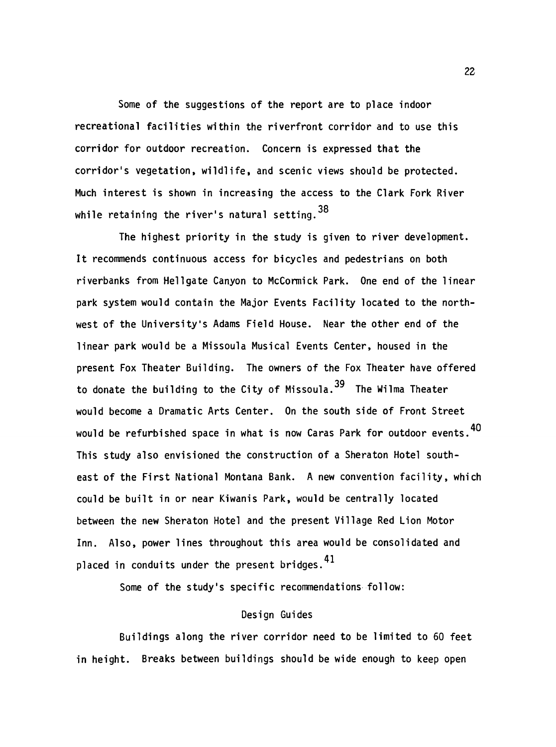**Some of the suggestions of the report are to place indoor** recreational facilities within the riverfront corridor and to use this **corridor for outdoor recreation. Concern is expressed that the** corridor's vegetation, wildlife, and scenic views should be protected. **Much interest is shown in increasing the access to the Clark Fork River** while retaining the river's natural setting.<sup>38</sup>

The highest priority in the study is given to river development. It recommends continuous access for bicycles and pedestrians on both **riverbanks from Hell gate Canyon to McCormick Park. One end of the linear park system would contain the Major Events Facility located to the northwest of the University's Adams Field House. Near the other end of the linear park would be a Missoula Musical Events Center, housed in the present Fox Theater Building. The owners of the Fox Theater have offered** to donate the building to the City of Missoula.<sup>39</sup> The Wilma Theater **would become a Dramatic Arts Center. On the south side of Front Street would be refurbished space in what is now Caras Park for outdoor events. This study also envisioned the construction of a Sheraton Hotel south**east of the First National Montana Bank. A new convention facility, which could be built in or near Kiwanis Park, would be centrally located **between the new Sheraton Hotel and the present Village Red Lion Motor Inn. Also, power lines throughout this area would be consolidated and <sup>41</sup> placed in conduits under the present bridges.**

**Some of the study's specific recommendations follow:**

#### **Design Guides**

Buildings along the river corridor need to be limited to 60 feet **in height. Breaks between buildings should be wide enough to keep open**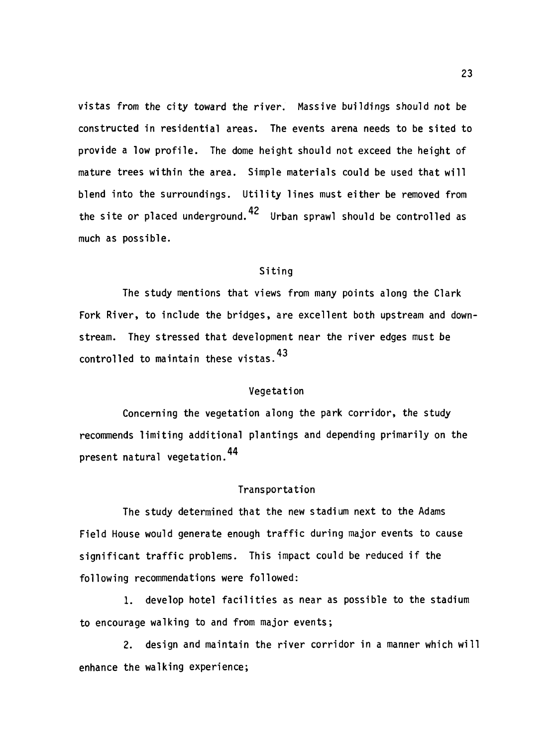**vistas from the city toward the river. Massive buildings should not be constructed in residential areas. The events arena needs to be sited to** provide a low profile. The dome height should not exceed the height of mature trees within the area. Simple materials could be used that will blend into the surroundings. Utility lines must either be removed from **<sup>42</sup> the site or placed underground. Urban sprawl should be controlled as much as possible.**

## **Siting**

**The study mentions that views from many points along the Clark Fork River, to include the bridges, are excellent both upstream and downstream. They stressed that development near the river edges must be controlled to maintain these vistas.**

## **Vegetation**

**Concerning the vegetation along the park corridor, the study** recommends limiting additional plantings and depending primarily on the **<sup>44</sup> present natural vegetation.**

#### **Transportation**

**The study determined that the new stadium next to the Adams Field House would generate enough tra ffic during major events to cause** significant traffic problems. This impact could be reduced if the **following recommendations were followed:**

1. develop hotel facilities as near as possible to the stadium **to encourage walking to and from major events;**

2. design and maintain the river corridor in a manner which will **enhance the walking experience;**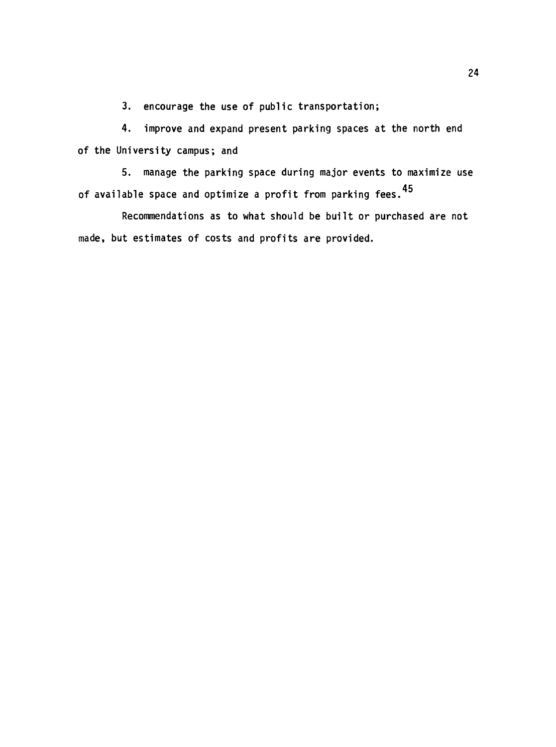**3. encourage the use of public transportation;**

**4. improve and expand present parking spaces at the north end of the University campus; and**

**5. manage the parking space during major events to maximize use** of available space and optimize a profit from parking fees.<sup>45</sup>

Recommendations as to what should be built or purchased are not **made, but estimates of costs and profits are provided.**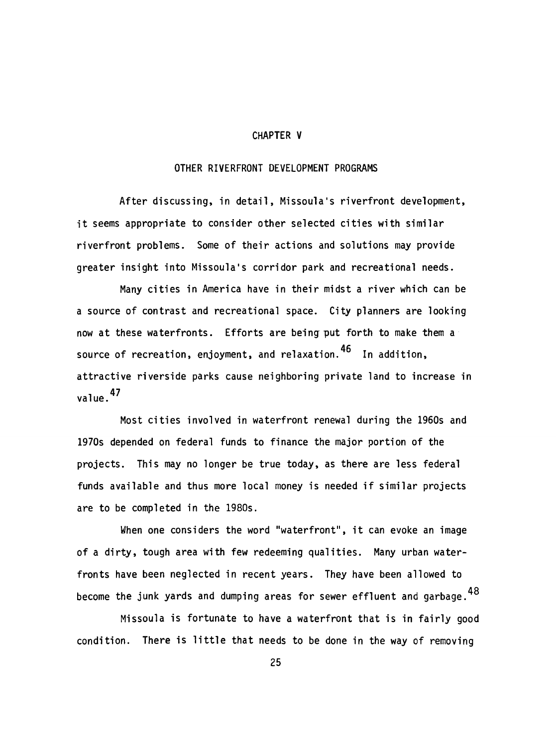## **CHAPTER V**

## **OTHER RIVERFRONT DEVELOPMENT PROGRAMS**

After discussing, in detail, Missoula's riverfront development, it seems appropriate to consider other selected cities with similar riverfront problems. Some of their actions and solutions may provide **greater insight into Missoula's corridor park and recreational needs.**

Many cities in America have in their midst a river which can be **a source of contrast and recreational space. City planners are looking now at these waterfronts. Efforts are being put forth to make them a <sup>46</sup> source of recreation, enjoyment, and relaxation. In addition, attractive riverside parks cause neighboring private land to increase in value.**

**Most c ities involved in waterfront renewal during the 1960s and 1970s depended on federal funds to finance the major portion of the projects. This may no longer be true today, as there are less federal** funds available and thus more local money is needed if similar projects **are to be completed in the 1980s.**

When one considers the word "waterfront", it can evoke an image of a dirty, tough area with few redeeming qualities. Many urban water**fronts have been neglected in recent years. They have been allowed to <sup>48</sup> become the junk yards and dumping areas for sewer effluent and garbage.**

Missoula is fortunate to have a waterfront that is in fairly good condition. There is little that needs to be done in the way of removing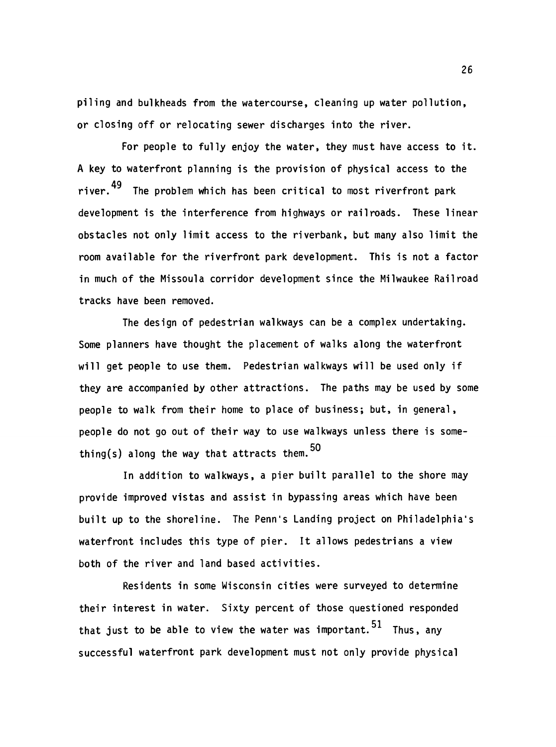piling and bulkheads from the watercourse, cleaning up water pollution, **or closing o ff or relocating sewer discharges into the river.**

For people to fully enjoy the water, they must have access to it. **A key to waterfront planning is the provision of physical access to the** river.<sup>49</sup> The problem which has been critical to most riverfront park **development is the interference from highways or railroads. These linear** obstacles not only limit access to the riverbank, but many also limit the room available for the riverfront park development. This is not a factor **in much of the Missoula corridor development since the Milwaukee Railroad tracks have been removed.**

**The design of pedestrian walkways can be a complex undertaking. Some planners have thought the placement of walks along the waterfront** will get people to use them. Pedestrian walkways will be used only if **they are accompanied by other attractions. The paths may be used by some** people to walk from their home to place of business; but, in general, people do not go out of their way to use walkways unless there is some**thing(s) along the way that attracts them.^^**

In addition to walkways, a pier built parallel to the shore may **provide improved vistas and assist in bypassing areas which have been b u ilt up to the shoreline. The Penn's Landing project on Philadelphia's** waterfront includes this type of pier. It allows pedestrians a view both of the river and land based activities.

**Residents in some Wisconsin cities were surveyed to determine th eir interest in water. Sixty percent of those questioned responded** that just to be able to view the water was important.<sup>51</sup> Thus, any **successful waterfront park development must not only provide physical**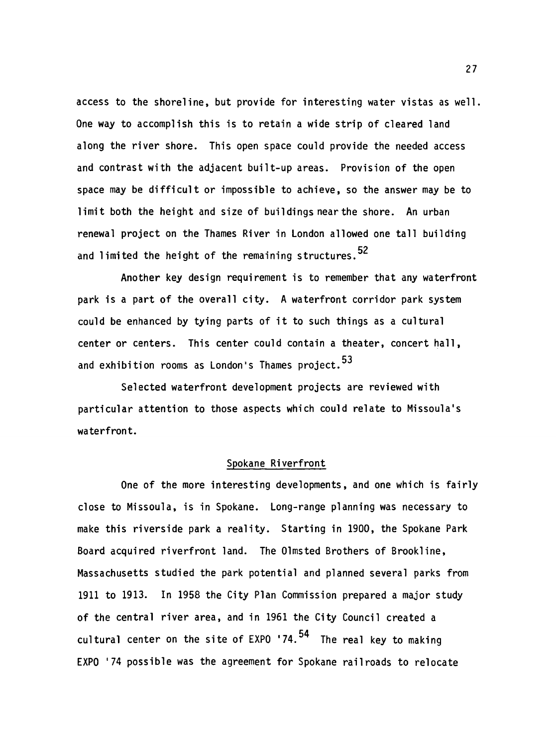**access to the shoreline, but provide for interesting water vistas as well. One way to accomplish this is to retain a wide strip of cleared land along the river shore. This open space could provide the needed access and contrast with the adjacent built-up areas. Provision of the open** space may be difficult or impossible to achieve, so the answer may be to **lim it both the height and size of buildings near the shore. An urban renewal project on the Thames River in London allowed one ta ll building** and limited the height of the remaining structures.<sup>52</sup>

**Another key design requirement is to remember that any waterfront** park is a part of the overall city. A waterfront corridor park system could be enhanced by tying parts of it to such things as a cultural center or centers. This center could contain a theater, concert hall, **<sup>53</sup> and exhibition rooms as London's Thames project.**

**Selected waterfront development projects are reviewed with particular attention to those aspects which could relate to Missoula's waterfront.**

## **Spokane Riverfront**

One of the more interesting developments, and one which is fairly **close to Missoula, is in Spokane. Long-range planning was necessary to** make this riverside park a reality. Starting in 1900, the Spokane Park Board acquired riverfront land. The Olmsted Brothers of Brookline, **Massachusetts studied the park potential and planned several parks from 1911 to 1913. In 1958 the City Plan Commission prepared a major study** of the central river area, and in 1961 the City Council created a **<sup>54</sup> cultural center on the site of EXPO '74. The real key to making EXPO '74 possible was the agreement for Spokane railroads to relocate**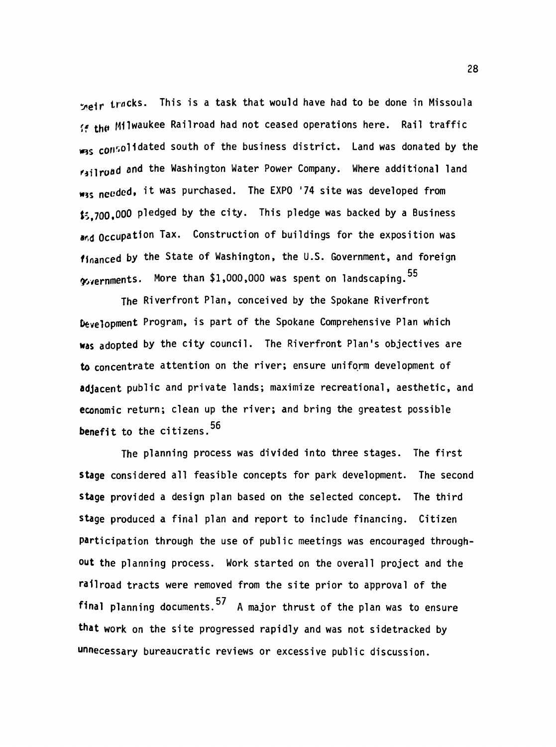**> e ir tr'icks. This is a task that would have had to be done in Missoula** fe the Milwaukee Railroad had not ceased operations here. Rail traffic **WBS CONSOlidated south of the business district. Land was donated by the railroad and the Washington Water Power Company. Where additional land** was needed, it was purchased. The EXPO '74 site was developed from **1**5,700,000 pledged by the city. This pledge was backed by a Business **and Occupation Tax. Construction of buildings for the exposition was financed by the State of Washington, the U.S. Government, and foreign governments.** More than \$1,000,000 was spent on landscaping.<sup>55</sup>

**The Riverfront Plan, conceived by the Spokane Riverfront Development Program, is part of the Spokane Comprehensive Plan which was adopted by the c ity council. The Riverfront Plan's objectives are** to concentrate attention on the river; ensure uniform development of **adjacent public and private lands; maximize recreational, aesthetic, and** economic return; clean up the river; and bring the greatest possible **benefit to the citizens.^®**

The planning process was divided into three stages. The first **stage considered a ll feasible concepts for park development. The second stage provided a design plan based on the selected concept. The third** stage produced a final plan and report to include financing. Citizen **participation through the use of public meetings was encouraged throughout the planning process. Work started on the overall project and the railroad tracts were removed from the site prior to approval of the** final planning documents.<sup>57</sup> A major thrust of the plan was to ensure **that work on the site progressed rapidly and was not sidetracked by unnecessary bureaucratic reviews or excessive public discussion.**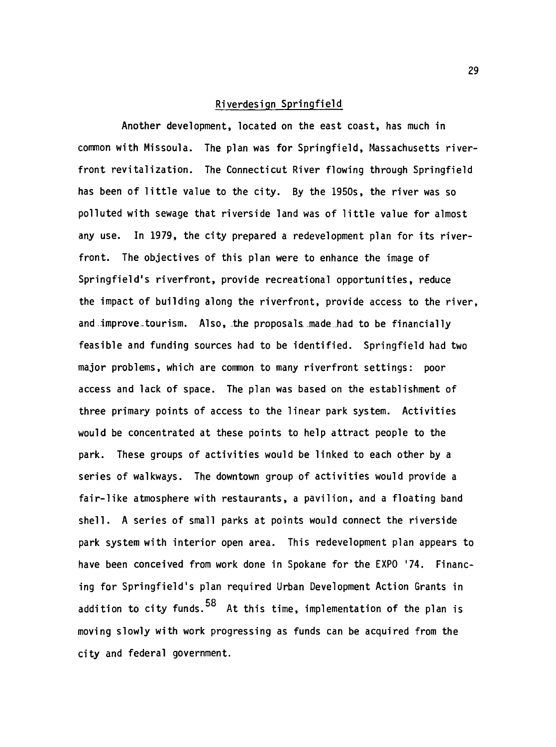#### **Riverdesiqn Springfield**

**Another development, located on the east coast, has much in** common with Missoula. The plan was for Springfield, Massachusetts riverfront revitalization. The Connecticut River flowing through Springfield has been of little value to the city. By the 1950s, the river was so polluted with sewage that riverside land was of little value for almost any use. In 1979, the city prepared a redevelopment plan for its river**front. The objectives of this plan were to enhance the image of** Springfield's riverfront, provide recreational opportunities, reduce the impact of building along the riverfront, provide access to the river, and improve tourism. Also, the proposals made had to be financially feasible and funding sources had to be identified. Springfield had two **major problems, which are common to many riverfront settings: poor access and lack of space. The plan was based on the establishment of** three primary points of access to the linear park system. Activities **would be concentrated at these points to help attract people to the** park. These groups of activities would be linked to each other by a series of walkways. The downtown group of activities would provide a fair-like atmosphere with restaurants, a pavilion, and a floating band **shell. A series of small parks at points would connect the riverside** park system with interior open area. This redevelopment plan appears to **have been conceived from work done in Spokane for the EXPO '74. Financing for Springfield's plan required Urban Development Action Grants in** addition to city funds.<sup>58</sup> At this time, implementation of the plan is **moving slowly with work progressing as funds can be acquired from the city and federal government.**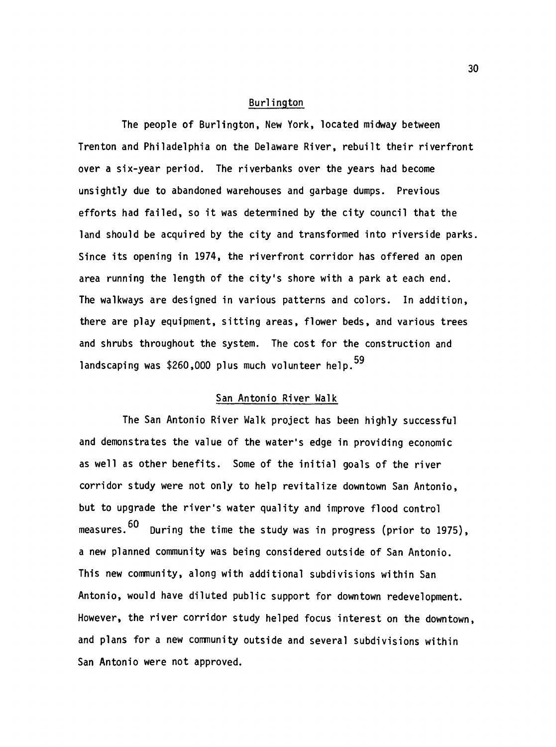#### **Burlington**

**The people of Burlington, New York, located midway between** Trenton and Philadelphia on the Delaware River, rebuilt their riverfront **over a six-year period. The riverbanks over the years had become unsightly due to abandoned warehouses and garbage dumps. Previous** efforts had failed, so it was determined by the city council that the **land should be acquired by the city and transformed into riverside parks. Since its opening in 1974, the riverfront corridor has offered an open** area running the length of the city's shore with a park at each end. **The walkways are designed in various patterns and colors. In addition,** there are play equipment, sitting areas, flower beds, and various trees **and shrubs throughout the system. The cost for the construction and landscaping was \$260,000 plus much volunteer help.^^**

#### **San Antonio River Walk**

**The San Antonio River Walk project has been highly successful and demonstrates the value of the water's edge in providing economic** as well as other benefits. Some of the initial goals of the river corridor study were not only to help revitalize downtown San Antonio, but to upgrade the river's water quality and improve flood control measures.<sup>60</sup> During the time the study was in progress (prior to 1975), **a new planned community was being considered outside of San Antonio. This new community, along with additional subdivisions within San Antonio, would have diluted public support for downtown redevelopment.** However, the river corridor study helped focus interest on the downtown, **and plans for a new community outside and several subdivisions within San Antonio were not approved.**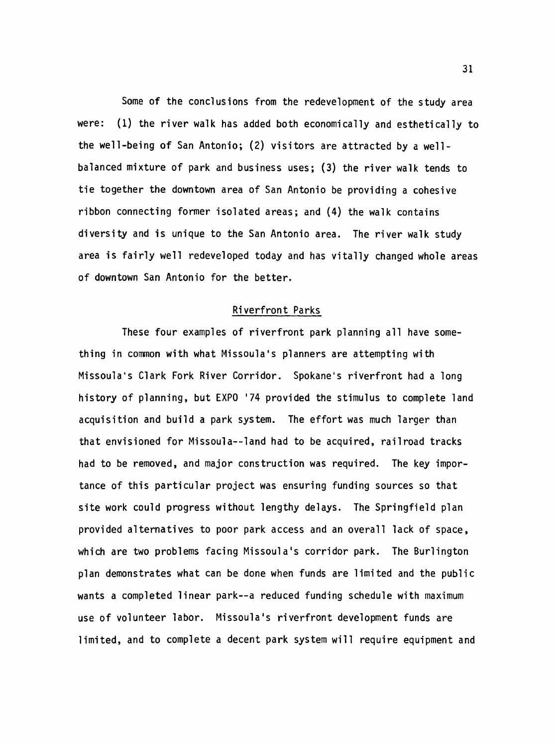**Some of the conclusions from the redevelopment of the study area** were: (1) the river walk has added both economically and esthetically to the well-being of San Antonio; (2) visitors are attracted by a well**balanced mixture of park and business uses; (3) the river walk tends to tie together the downtown area of San Antonio be providing a cohesive ribbon connecting former isolated areas; and (4) the walk contains diversity and is unique to the San Antonio area. The river walk study area is fa irly well redeveloped today and has v ita lly changed whole areas of downtown San Antonio for the better.**

## **Riverfront Parks**

These four examples of riverfront park planning all have some**thing in common with what Missoula's planners are attempting with Missoula's Clark Fork River Corridor. Spokane's riverfront had a long history of planning, but EXPO '74 provided the stimulus to complete land** acquisition and build a park system. The effort was much larger than **that envisioned for Missoula--land had to be acquired, railroad tracks had to be removed, and major construction was required. The key importance of this particular project was ensuring funding sources so that site work could progress without lengthy delays. The Springfield plan provided alternatives to poor park access and an overall lack of space, which are two problems facing Missoula's corridor park. The Burlington plan demonstrates what can be done when funds are limited and the public wants a completed linear park—a reduced funding schedule with maximum** use of volunteer labor. Missoula's riverfront development funds are limited, and to complete a decent park system will require equipment and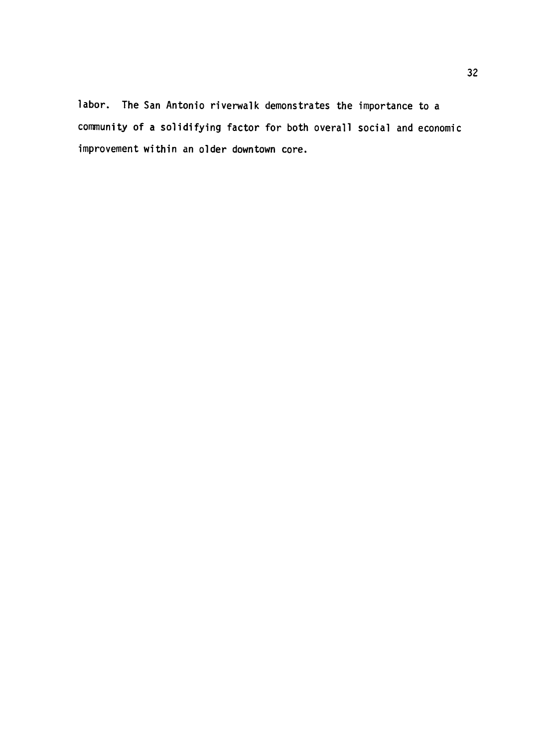**labor. The San Antonio riverwalk demonstrates the importance to a community of a solidifying factor for both overall social and economic improvement within an older downtown core.**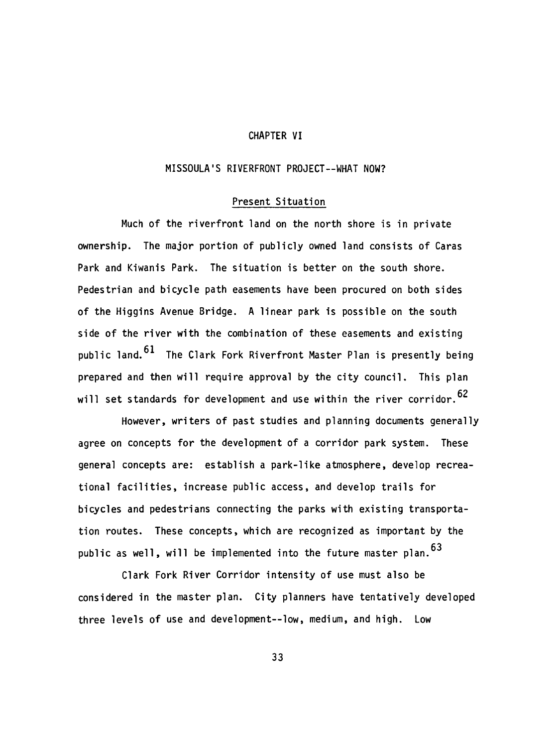## **CHAPTER VI**

#### **MISSOULA'S RIVERFRONT PROJECT—WHAT NOW?**

## **Present Situation**

Much of the riverfront land on the north shore is in private **ownership. The major portion of publicly owned land consists of Caras Park and Kiwanis Park. The situation is better on the south shore. Pedestrian and bicycle path easements have been procured on both sides of the Higgins Avenue Bridge. A linear park is possible on the south** side of the river with the combination of these easements and existing **public land.®^ The Clark Fork Riverfront Master Plan is presently being** prepared and then will require approval by the city council. This plan will set standards for development and use within the river corridor.<sup>62</sup>

**However, writers of past studies and planning documents generally** agree on concepts for the development of a corridor park system. These **general concepts are: establish a park-like atmosphere, develop recrea**tional facilities, increase public access, and develop trails for **bicycles and pedestrians connecting the parks with existing transportation routes. These concepts, which are recognized as important by the** public as well, will be implemented into the future master plan.<sup>63</sup>

**Clark Fork River Corridor intensity of use must also be considered in the master plan. City planners have tentatively developed three levels of use and development--low, medium, and high. Low**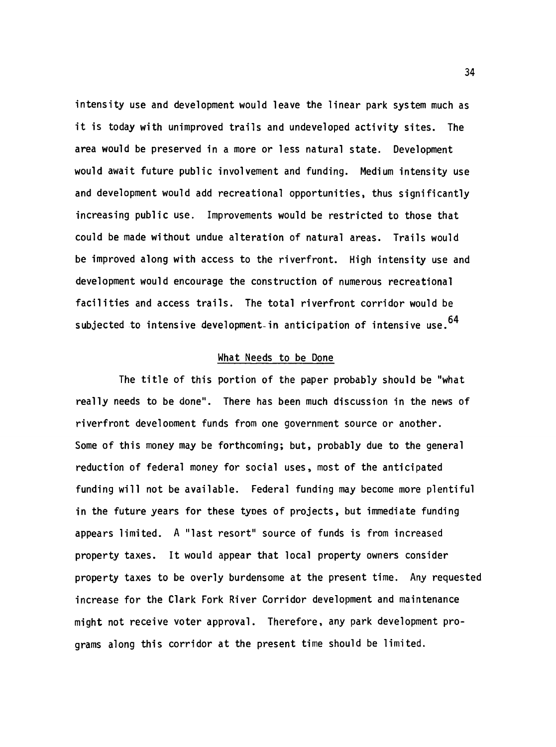**intensity use and development would leave the linear park system much as** it is today with unimproved trails and undeveloped activity sites. The **area would be preserved in a more or less natural state. Development would await future public involvement and funding. Medium intensity use and development would add recreational opportunities, thus significantly increasing public use. Improvements would be restricted to those that could be made without undue alteration of natural areas. Trails would** be improved along with access to the riverfront. High intensity use and **development would encourage the construction of numerous recreational** facilities and access trails. The total riverfront corridor would be **subjected to intensive development-in anticipation of intensive use.^^**

## **What Needs to be Done**

The title of this portion of the paper probably should be "what **really needs to be done". There has been much discussion in the news of riverfront develooment funds from one government source or another. Some of this money may be forthcoming; but, probably due to the general reduction of federal money for social uses, most of the anticipated funding w ill not be available. Federal funding may become more plentiful in the future years for these tyoes of projects, but immediate funding appears lim ited. A "last resort" source of funds is from increased** property taxes. It would appear that local property owners consider **property taxes to be overly burdensome at the present time. Any requested increase for the Clark Fork River Corridor development and maintenance might not receive voter approval. Therefore, any park development programs along this corridor at the present time should be lim ited.**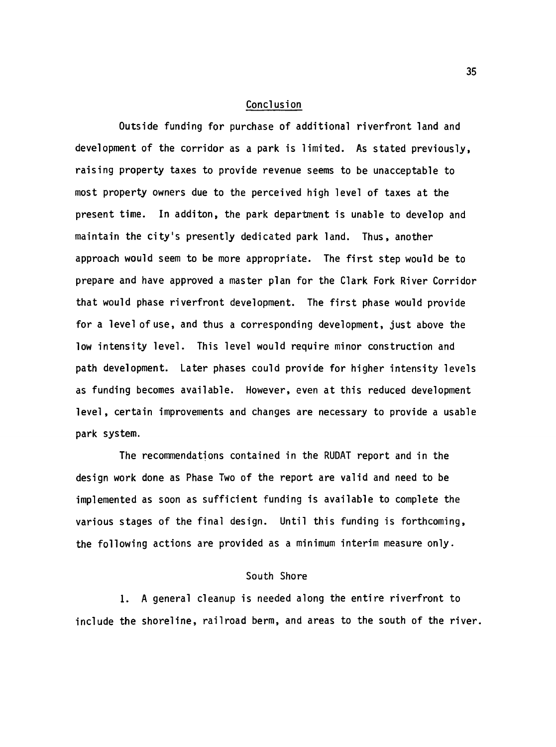#### **Conclusion**

**Outside funding for purchase of additional riverfront land and** development of the corridor as a park is limited. As stated previously, **raising property taxes to provide revenue seems to be unacceptable to most property owners due to the perceived high level of taxes at the present time. In additon, the park department is unable to develop and** maintain the city's presently dedicated park land. Thus, another approach would seem to be more appropriate. The first step would be to **prepare and have approved a master plan for the Clark Fork River Corridor** that would phase riverfront development. The first phase would provide **for a level of use, and thus a corresponding development, just above the low intensity level. This level would require minor construction and path development. Later phases could provide for higher intensity levels as funding becomes available. However, even at this reduced development** level, certain improvements and changes are necessary to provide a usable **park system.**

**The recommendations contained in the RUDAT report and in the design work done as Phase Two of the report are valid and need to be** implemented as soon as sufficient funding is available to complete the **various stages of the final design. Until this funding is forthcoming, the following actions are provided as a minimum interim measure only.**

## **South Shore**

**1. A general cleanup is needed along the entire riverfront to include the shoreline, railroad berm, and areas to the south of the river.**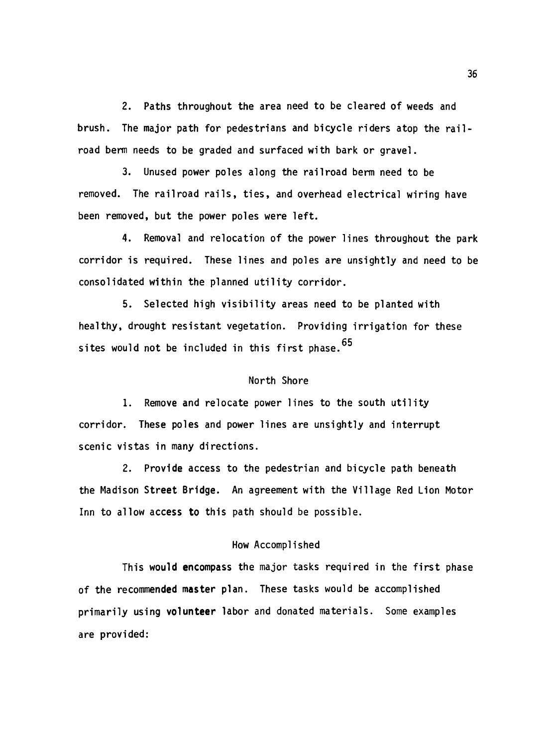**2. Paths throughout the area need to be cleared of weeds and** brush. The major path for pedestrians and bicycle riders atop the rail**road berm needs to be graded and surfaced with bark or gravel.**

**3. Unused power poles along the railroad berm need to be** removed. The railroad rails, ties, and overhead electrical wiring have been removed, but the power poles were left.

**4. Removal and relocation of the power lines throughout the park corridor is required. These lines and poles are unsightly and need to be** consolidated within the planned utility corridor.

5. Selected high visibility areas need to be planted with healthy, drought resistant vegetation. Providing irrigation for these sites would not be included in this first phase.<sup>65</sup>

## **North Shore**

1. Remove and relocate power lines to the south utility **corridor. These poles and power lines are unsightly and interrupt scenic vistas in many directions.**

**2. Provide access to the pedestrian and bicycle path beneath the Madison Street Bridge. An agreement with the Village Red Lion Motor Inn to allow access to this path should be possible.**

## **How Accomplished**

This would encompass the major tasks required in the first phase **of the recommended master plan. These tasks would be accomplished prim arily using volunteer labor and donated materials. Some examples are provided:**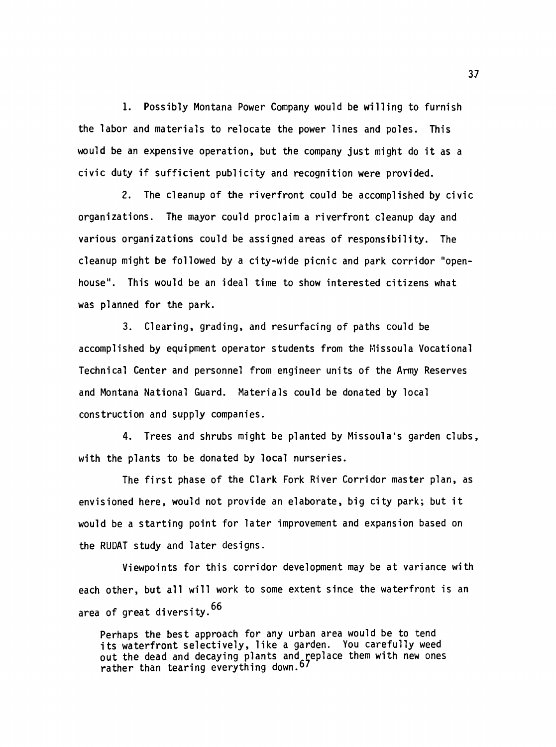1. Possibly Montana Power Company would be willing to furnish **the labor and materials to relocate the power lines and poles. This** would be an expensive operation, but the company just might do it as a civic duty if sufficient publicity and recognition were provided.

2. The cleanup of the riverfront could be accomplished by civic **organizations. The mayor could proclaim a riverfront cleanup day and various organizations could be assigned areas of responsibility. The cleanup might be followed by a city-wide picnic and park corridor "openhouse". This would be an ideal time to show interested citizens what was planned for the park.**

**3. Clearing, grading, and resurfacing of paths could be accomplished by equipment operator students from the Missoula Vocational Technical Center and personnel from engineer units of the Army Reserves and Montana National Guard. Materials could be donated by local construction and supply companies.**

**4. Trees and shrubs might be planted by Missoula's garden clubs, with the plants to be donated by local nurseries.**

The first phase of the Clark Fork River Corridor master plan, as envisioned here, would not provide an elaborate, big city park; but it **would be a starting point for la te r improvement and expansion based on** the RUDAT study and later designs.

**Viewpoints for this corridor development may be at variance with** each other, but all will work to some extent since the waterfront is an **area of great diversity.^®**

**Perhaps the best approach for any urban area would be to tend** its waterfront selectively, like a garden. You carefully weed **out the dead and decaying plants and replace them with new ones rather than tearing everything down.®'**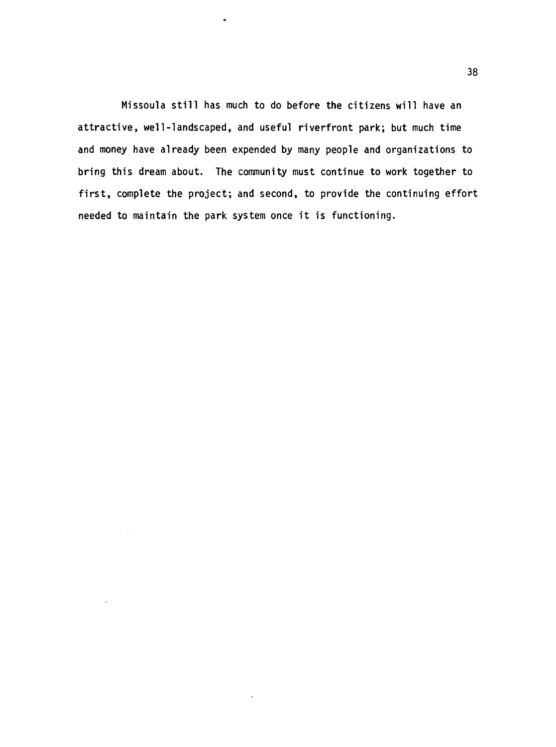Missoula still has much to do before the citizens will have an attractive, well-landscaped, and useful riverfront park; but much time **and money have already been expended by many people and organizations to bring this dream about. The community must continue to work together to** first, complete the project; and second, to provide the continuing effort needed to maintain the park system once it is functioning.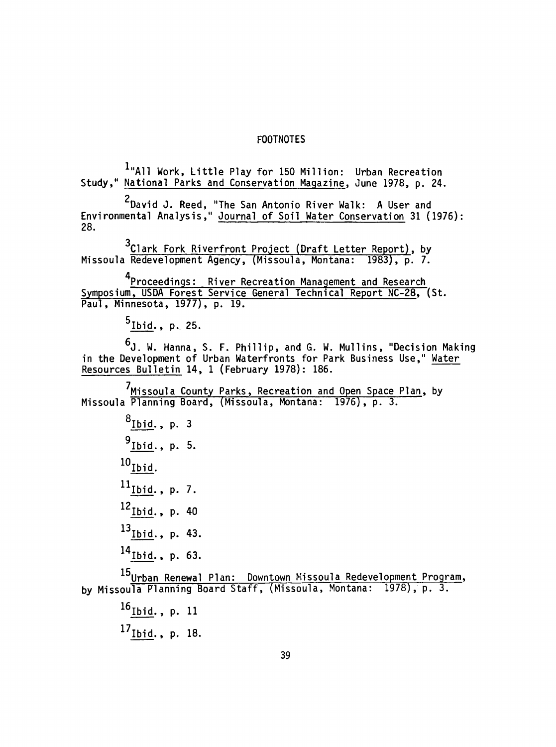## **FOOTNOTES**

**^"All Work, L ittle Play for 150 M illion: Urban Recreation Study," National Parks and Conservation Magazine, June 1978, p. 24.**

**^David J. Reed, "The San Antonio River Walk: A User and Environmental Analysis," Journal of Soil Water Conservation 31 (1976): 28.**

**3 Clark Fork Riverfront Project (Draft Letter Report), by Missoula Redevelopment Agency, (Missoula, Montana: 1983), p. 7.**

**4 Proceedings: River Recreation Management and Research Symposium, USDA Forest Service General Technical Report NC-28, (St. Paul, Minnesota, 1977), p. 19.**

**^Ib id . , p. 25.**

<sup>6</sup>J. W. Hanna, S. F. Phillip, and G. W. Mullins, "Decision Making **in the Development of Urban Waterfronts for Park Business Use," Water Resources Bulletin 14, 1 (February 1978): 186.**

**^Missoula County Parks, Recreation and Open Space Plan, by Missoula Planning Board, (Missoula, Montana: 1976), p. 3.**

$$
\frac{\frac{8 \text{Ibid.}}{9 \text{Ibid.}}, p. 3}{\frac{10 \text{Ibid.}}{1 \text{Ibid.}}}, p. 5.
$$
\n
$$
\frac{12 \text{Ibid.}}{1 \text{Ibid.}}, p. 40
$$
\n
$$
\frac{13 \text{Ibid.}}{1 \text{Ibid.}}, p. 43.
$$
\n
$$
\frac{14 \text{Ibid.}}, p. 63.
$$

**^^Urban Renewal Plan: Downtown Missoula Redevelopment Program, by Missoula Planning Board S ta ff, (Missoula, Montana: 1978), p. 3.**

$$
\frac{16_{\text{Ibid.}}, p. 11}{\frac{17_{\text{Ibid.}}, p. 18.}
$$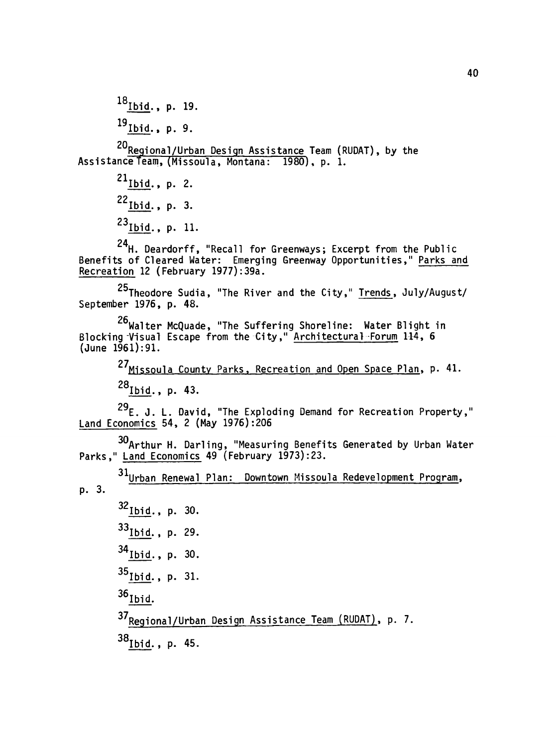18<sub>Ibid.</sub>, p. 19. **l^ Ib id ., p. 9. <sup>20</sup>Repional/Urban Design Assistance Team (RUDAT), by the Assistance Team, (Missoula, Montana: 198D), p. 1. Z^Ibid., p. 2. ^^Ibid., p. 3. Z^Ibid., p. 11. 24H. Deardorff, "Recall for Greenways; Excerpt from the Public Benefits of Cleared Water: Emerging Greenway Opportunities," Parks and Recreation 12 (February 1977):39a.**

**^^Theodore Sudia, "The River and the City," Trends, July/August/ September 1976, p. 48.**

**^^Walter McQuade, "The Suffering Shoreline: Water Blight in** Blocking Visual Escape from the City," <u>Architectural Forum</u> 114,6 **(June 1961):91.**

> **27Missoula County Parks, Recreation and Open Space Plan, p. 41. ZGlbid., p. 43.**

<sup>29</sup>E. J. L. David, "The Exploding Demand for Recreation Property," **Land Economics 54, 2 (May 1976):2D6**

**^^Arthur H. Darling, "Measuring Benefits Generated by Urban Water Parks," Land Economics 49 (February 1973):23.**

**31. Urban Renewal Plan: Downtown Missoula Redevelopment Program, p. 3. 32lbid ., p. 30. 33%bid. , p. 29. 3\* Ib id . , p. 30.**

**35ib id . , p. 31.**

**3Glbid.**

**37 Regional/Urban Design Assistance Team (RUDAT), p. 7.**

38<sub><u>Ibid</u>., p. 45.</sub>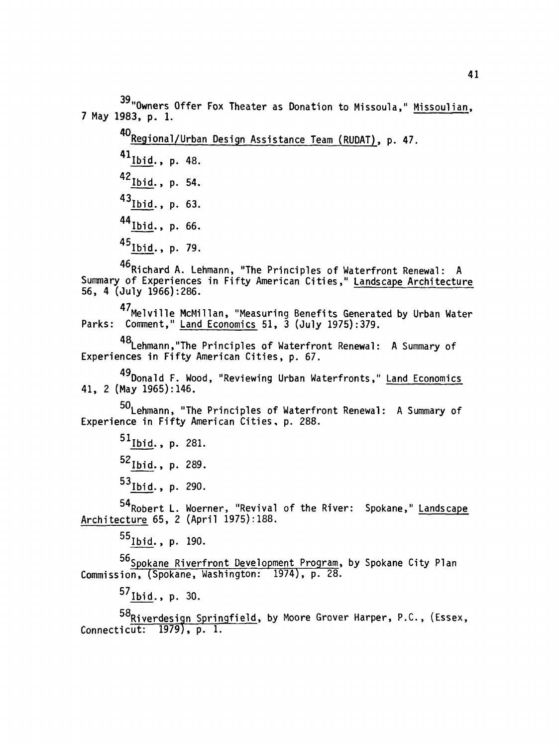**39"Owners Offer Fox Theater as Donation to Missoula," Missoulian,** 7 May 1983, p. 1.

**40Regional/Urban Design Assistance Team (RUDAT). p. 47. \*^ Ib id ., p. 48. 42%bid. , p. 54. 43%bid., p. 63. ^^Ib id . , p. 66. <sup>45</sup>= Ib id ., p. 79.**

**46Richard A. Lehmann, "The Principles of Waterfront Renewal: A Summary of Experiences in F ifty American C ities," Landscape Architecture 56, 4 (July 1966):286.**

**47M elville McMillan, "Measuring Benefits Generated by Urban Water Parks: Comment," Land Economics 51, 3 (July 1975):379.**

**48Lehmann,"The Principles of Waterfront Renewal: A Summary of Experiences in F ifty American C ities, p. 67.**

**49Donald F. Wood, "Reviewing Urban Waterfronts," Land Economics 41, 2 (May 1965):146.**

**50Lehmann, "The Principles of Waterfront Renewal: A Summary of Experience in F ifty American C ities, p. 288.**

**S^Ibid. , p. 281. S^Ib id . , p. 289. S^Ibid. , p. 290.**

**^^Robert L. Woerner, "Revival of the River: Spokane," Landscape Architecture 65, 2 (April 1975):188.**

**S^ib id . , p. 190.**

**^^Spokane Riverfront Development Program, by Spokane City Plan Commission, (Spokane, Washington: 1974),** *p .* **28.**

**S^ib id . , p. 30.**

**^^Riverdesiqn Springfield, by Moore Grover Harper, P.C., (Essex,** Connecticut: 1979), p. 1.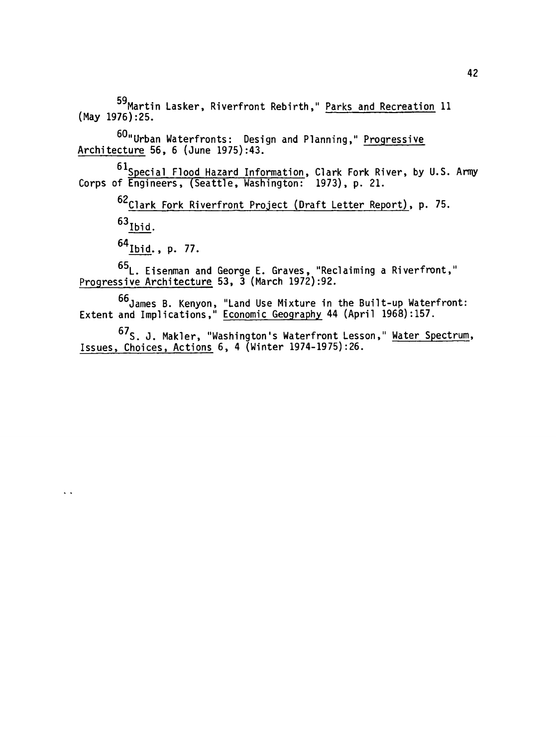**<sup>59</sup>Martin Lasker, Riverfront Rebirth," Parks and Recreation 11 (May 1976):25.**

**Urban Waterfronts: Design and Planning," Progressive Architecture 56, 6 (June 1975):43.**

**^^Special Flood Hazard Information, Clark Fork River, by U.S. Anny** Corps of Engineers, (Seattle, Washington: 1973), p. 21.

**^^Clark Fork Riverfront Project (Draft Letter Report), p. 75.**

 $63$ Ibid.

 $\ddot{\phantom{a}}$ 

**G4%bid., p. 77.**

**®^L. Eisenman and George E. Graves, "Reclaiming a Riverfront," Progressive Architecture 53, 3 (March 1972):92.**

**^^James B. Kenyon, "Land Use Mixture in the Built-up Wate Extent and Implications," Economic Geography 44 (April 1968):157**

**®^S. J. Makler, "Washington's Waterfront Lesson," Water S Issues, Choices, Actions 6, 4 (Winter 1974-1975):26.**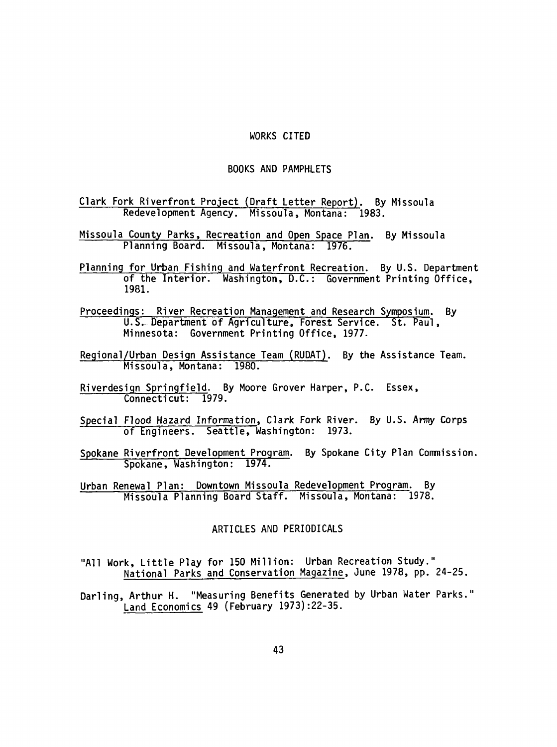#### **WORKS CITED**

#### **BOOKS AND PAMPHLETS**

- **Clark Fork Riverfront Project (Draft Letter Report). By Missoula Redevelopment Agency. Missoula, Montana: 1983.**
- **Missoula County Parks, Recreation and Open Space Plan. By Missoula Planning Board. Missoula, Montana: 1976.**
- **Planning for Urban Fishing and Waterfront Recreation. By U.S. Department** of the Interior. Washington, D.C.: Government Printing Office, **1981.**
- **Proceedings: River Recreation Management and Research Symposium. By U.S. Department of Agriculture, Forest Service. St. Paul, Minnesota: Government Printing Office, 1977.**
- **Regional/Urban Design Assistance Team (RUDAT). By the Assistance Team. Missoula, Montana: 1980.**
- **Riverdesiqn Springfield. By Moore Grover Harper, P.C. Essex, Connecticut: 1979.**
- **Special Flood Hazard Information, Clark Fork River. By U.S. Army Corps of Engineers. Seattle, Washington: 1973.**
- **Spokane Riverfront Development Program. By Spokane City Plan Commission. Spokane, Washington: 1974.**
- **Urban Renewal Plan: Downtown Missoula Redevelopment Program. By Missoula Planning Board S taff. Missoula, Montana: 1978.**

#### **ARTICLES AND PERIODICALS**

- "All Work, Little Play for 150 Million: Urban Recreation Study." **National Parks and Conservation Magazine. June 1978, pp. 24-25.**
- **Darling, Arthur H. "Measuring Benefits Generated by Urban Water Parks." Land Economics 49 (February 1973):22-35.**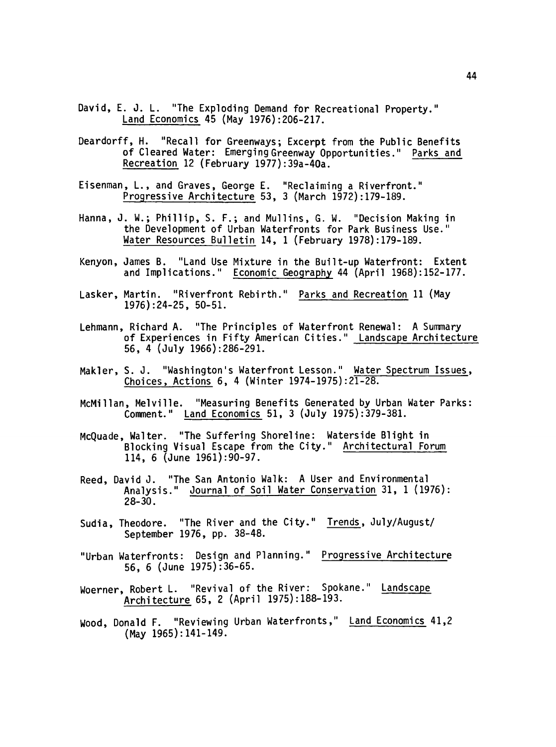- **David, E. J. L. "The Exploding Demand for Recreational Property." Land Economics 45 (May 1976):206-217.**
- **Deardorff, H. "Recall for Greenways; Excerpt from the Public Benefits of Cleared Water: Emerging Greenway Opportunities." Parks and Recreation 12 (February 1977):39a-40a.**
- **Eisenman, L ., and Graves, George E. "Reclaiming a Riverfront." Progressive Architecture 53, 3 (March 1972): 179-189.**
- Hanna, J. W.; Phillip, S. F.; and Mullins, G. W. "Decision Making in **the Development of Urban Waterfronts for Park Business Use." Water Resources Bulletin 14, 1 (February 1978): 179-189.**
- **Kenyon, James B. "Land Use Mixture in the Built-up Waterfront: Extent and Implications." Economic Geography 44 (April 1968): 152-177.**
- **Lasker, Martin. "Riverfront Rebirth." Parks and Recreation 11 (May 1976):24-25, 50-51.**
- **Lehmann, Richard A. "The Principles of Waterfront Renewal: A Summary** of Experiences in Fifty American Cities." Landscape Architecture **56, 4 (July 1966):286-291.**
- **Makler, S. J. "Washington's Waterfront Lesson." Water Spectrum Issues, Choices, Actions 6, 4 (Winter 1974-1975):21-28.**
- McMillan, Melville. "Measuring Benefits Generated by Urban Water Parks: **Comment." Land Economics 51, 3 (July 1975):379-381.**
- **McQuade, Walter. "The Suffering Shoreline: Waterside Blight in Blocking Visual Escape from the C ity." Architectural Forum 114, 6 (June 1961):90-97.**
- **Reed, David J. "The San Antonio Walk: A User and Environmental Analysis." Journal of Soil Water Conservation 31, 1 (1976): 28-30.**
- **Sudia, Theodore. "The River and the City." Trends, July/August/ September 1976, pp. 38-48.**
- **"Urban Waterfronts: Design and Planning." Progressive Architecture 56, 6 (June 1975):36-65.**
- **Woerner, Robert L. "Revival of the River: Spokane." Landscape Architecture 65, 2 (April 1975): 188-193.**
- **Wood, Donald F. "Reviewing Urban Waterfronts," Land Economics 41,2 (May 1965):141-149.**